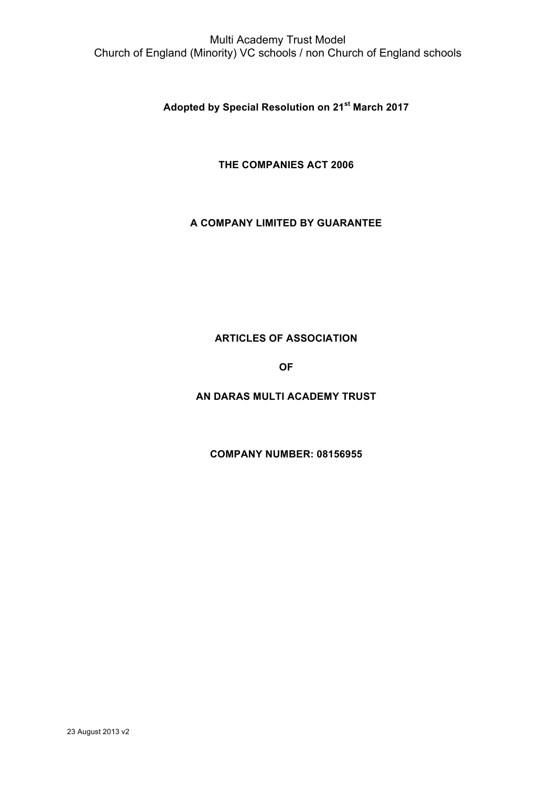Multi Academy Trust Model Church of England (Minority) VC schools / non Church of England schools

**Adopted by Special Resolution on 21st March 2017**

**THE COMPANIES ACT 2006**

## **A COMPANY LIMITED BY GUARANTEE**

# **ARTICLES OF ASSOCIATION**

**OF**

**AN DARAS MULTI ACADEMY TRUST** 

**COMPANY NUMBER: 08156955**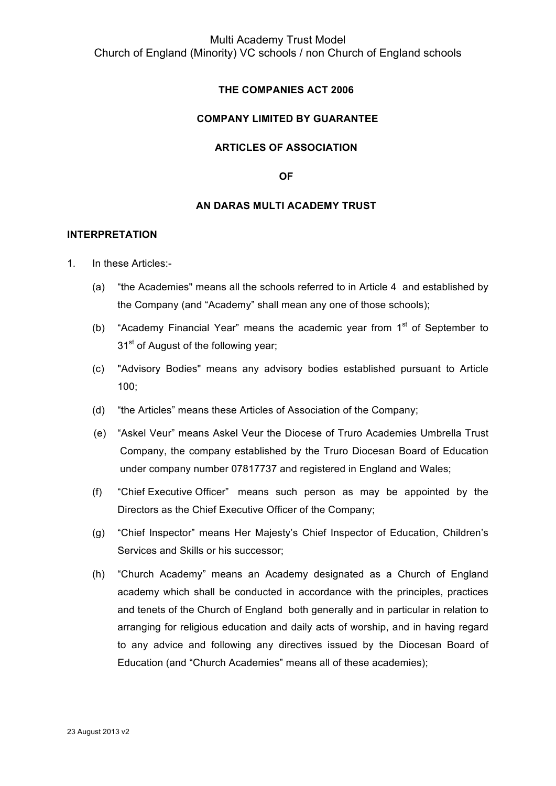# Multi Academy Trust Model Church of England (Minority) VC schools / non Church of England schools

## **THE COMPANIES ACT 2006**

## **COMPANY LIMITED BY GUARANTEE**

#### **ARTICLES OF ASSOCIATION**

**OF**

#### **AN DARAS MULTI ACADEMY TRUST**

#### **INTERPRETATION**

- 1. In these Articles:-
	- (a) "the Academies" means all the schools referred to in Article 4 and established by the Company (and "Academy" shall mean any one of those schools);
	- (b) "Academy Financial Year" means the academic year from  $1<sup>st</sup>$  of September to 31<sup>st</sup> of August of the following year;
	- (c) "Advisory Bodies" means any advisory bodies established pursuant to Article 100;
	- (d) "the Articles" means these Articles of Association of the Company;
	- (e) "Askel Veur" means Askel Veur the Diocese of Truro Academies Umbrella Trust Company, the company established by the Truro Diocesan Board of Education under company number 07817737 and registered in England and Wales;
	- (f) "Chief Executive Officer" means such person as may be appointed by the Directors as the Chief Executive Officer of the Company;
	- (g) "Chief Inspector" means Her Majesty's Chief Inspector of Education, Children's Services and Skills or his successor;
	- (h) "Church Academy" means an Academy designated as a Church of England academy which shall be conducted in accordance with the principles, practices and tenets of the Church of England both generally and in particular in relation to arranging for religious education and daily acts of worship, and in having regard to any advice and following any directives issued by the Diocesan Board of Education (and "Church Academies" means all of these academies);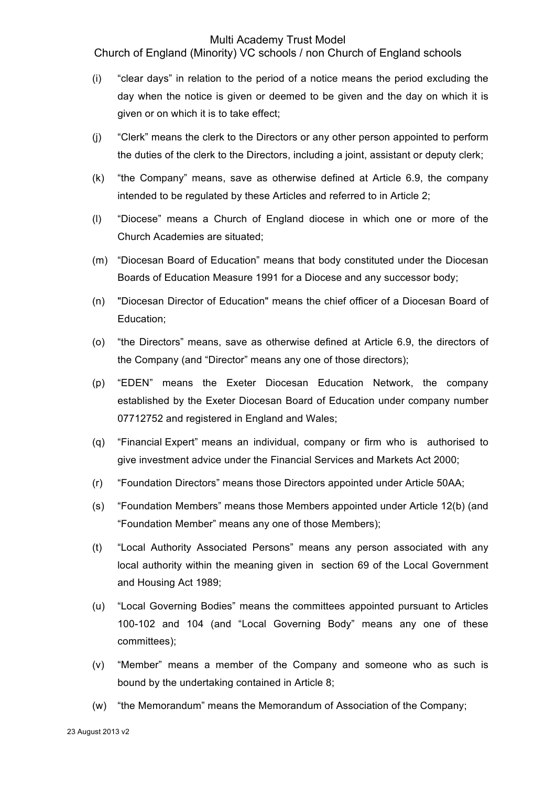Church of England (Minority) VC schools / non Church of England schools

- (i) "clear days" in relation to the period of a notice means the period excluding the day when the notice is given or deemed to be given and the day on which it is given or on which it is to take effect;
- (j) "Clerk" means the clerk to the Directors or any other person appointed to perform the duties of the clerk to the Directors, including a joint, assistant or deputy clerk;
- (k) "the Company" means, save as otherwise defined at Article 6.9, the company intended to be regulated by these Articles and referred to in Article 2;
- (l) "Diocese" means a Church of England diocese in which one or more of the Church Academies are situated;
- (m) "Diocesan Board of Education" means that body constituted under the Diocesan Boards of Education Measure 1991 for a Diocese and any successor body;
- (n) "Diocesan Director of Education" means the chief officer of a Diocesan Board of Education;
- (o) "the Directors" means, save as otherwise defined at Article 6.9, the directors of the Company (and "Director" means any one of those directors);
- (p) "EDEN" means the Exeter Diocesan Education Network, the company established by the Exeter Diocesan Board of Education under company number 07712752 and registered in England and Wales;
- (q) "Financial Expert" means an individual, company or firm who is authorised to give investment advice under the Financial Services and Markets Act 2000;
- (r) "Foundation Directors" means those Directors appointed under Article 50AA;
- (s) "Foundation Members" means those Members appointed under Article 12(b) (and "Foundation Member" means any one of those Members);
- (t) "Local Authority Associated Persons" means any person associated with any local authority within the meaning given in section 69 of the Local Government and Housing Act 1989;
- (u) "Local Governing Bodies" means the committees appointed pursuant to Articles 100-102 and 104 (and "Local Governing Body" means any one of these committees);
- (v) "Member" means a member of the Company and someone who as such is bound by the undertaking contained in Article 8;
- (w) "the Memorandum" means the Memorandum of Association of the Company;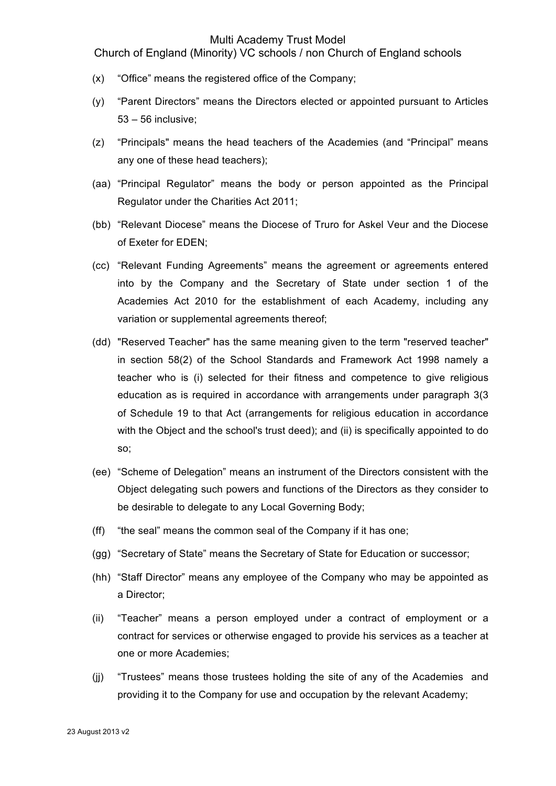Church of England (Minority) VC schools / non Church of England schools

- (x) "Office" means the registered office of the Company;
- (y) "Parent Directors" means the Directors elected or appointed pursuant to Articles 53 – 56 inclusive;
- (z) "Principals" means the head teachers of the Academies (and "Principal" means any one of these head teachers);
- (aa) "Principal Regulator" means the body or person appointed as the Principal Regulator under the Charities Act 2011;
- (bb) "Relevant Diocese" means the Diocese of Truro for Askel Veur and the Diocese of Exeter for EDEN;
- (cc) "Relevant Funding Agreements" means the agreement or agreements entered into by the Company and the Secretary of State under section 1 of the Academies Act 2010 for the establishment of each Academy, including any variation or supplemental agreements thereof;
- (dd) "Reserved Teacher" has the same meaning given to the term "reserved teacher" in section 58(2) of the School Standards and Framework Act 1998 namely a teacher who is (i) selected for their fitness and competence to give religious education as is required in accordance with arrangements under paragraph 3(3 of Schedule 19 to that Act (arrangements for religious education in accordance with the Object and the school's trust deed); and (ii) is specifically appointed to do so;
- (ee) "Scheme of Delegation" means an instrument of the Directors consistent with the Object delegating such powers and functions of the Directors as they consider to be desirable to delegate to any Local Governing Body;
- (ff) "the seal" means the common seal of the Company if it has one;
- (gg) "Secretary of State" means the Secretary of State for Education or successor;
- (hh) "Staff Director" means any employee of the Company who may be appointed as a Director;
- (ii) "Teacher" means a person employed under a contract of employment or a contract for services or otherwise engaged to provide his services as a teacher at one or more Academies;
- (jj) "Trustees" means those trustees holding the site of any of the Academies and providing it to the Company for use and occupation by the relevant Academy;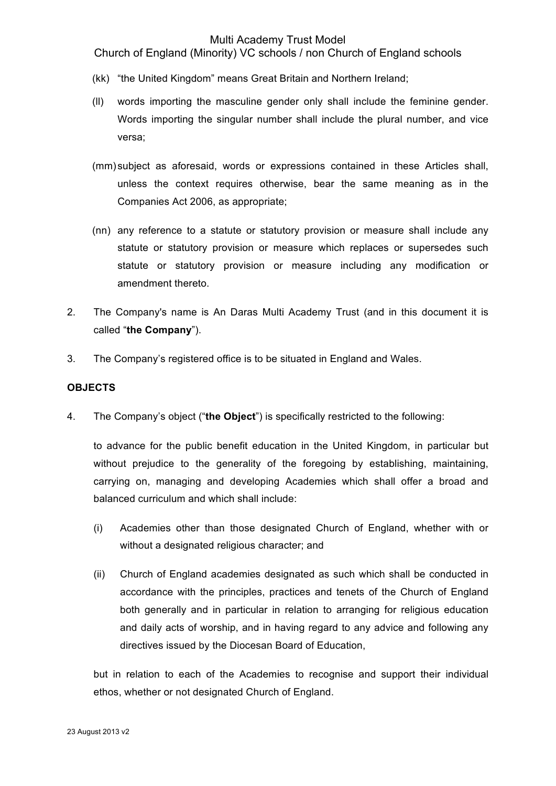Church of England (Minority) VC schools / non Church of England schools

- (kk) "the United Kingdom" means Great Britain and Northern Ireland;
- (ll) words importing the masculine gender only shall include the feminine gender. Words importing the singular number shall include the plural number, and vice versa;
- (mm) subject as aforesaid, words or expressions contained in these Articles shall, unless the context requires otherwise, bear the same meaning as in the Companies Act 2006, as appropriate;
- (nn) any reference to a statute or statutory provision or measure shall include any statute or statutory provision or measure which replaces or supersedes such statute or statutory provision or measure including any modification or amendment thereto.
- 2. The Company's name is An Daras Multi Academy Trust (and in this document it is called "**the Company**").
- 3. The Company's registered office is to be situated in England and Wales.

## **OBJECTS**

4. The Company's object ("**the Object**") is specifically restricted to the following:

to advance for the public benefit education in the United Kingdom, in particular but without prejudice to the generality of the foregoing by establishing, maintaining, carrying on, managing and developing Academies which shall offer a broad and balanced curriculum and which shall include:

- (i) Academies other than those designated Church of England, whether with or without a designated religious character; and
- (ii) Church of England academies designated as such which shall be conducted in accordance with the principles, practices and tenets of the Church of England both generally and in particular in relation to arranging for religious education and daily acts of worship, and in having regard to any advice and following any directives issued by the Diocesan Board of Education,

but in relation to each of the Academies to recognise and support their individual ethos, whether or not designated Church of England.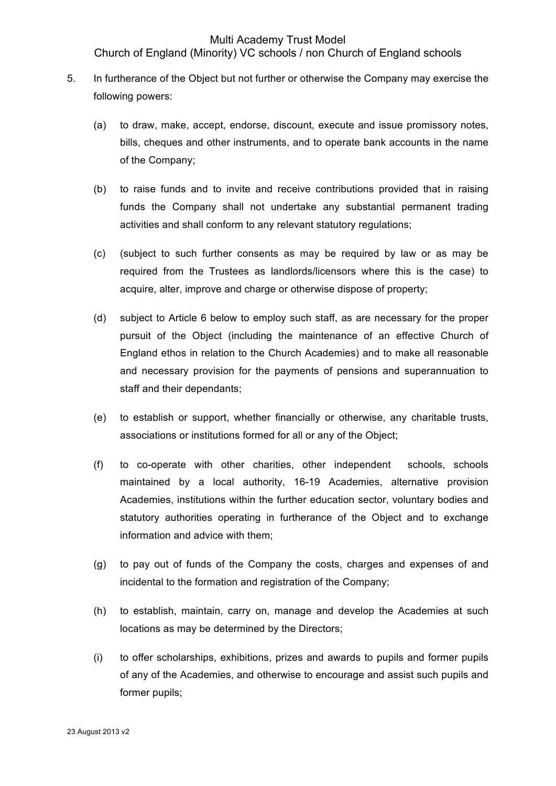# Church of England (Minority) VC schools / non Church of England schools

- 5. In furtherance of the Object but not further or otherwise the Company may exercise the following powers:
	- (a) to draw, make, accept, endorse, discount, execute and issue promissory notes, bills, cheques and other instruments, and to operate bank accounts in the name of the Company;
	- (b) to raise funds and to invite and receive contributions provided that in raising funds the Company shall not undertake any substantial permanent trading activities and shall conform to any relevant statutory regulations;
	- (c) (subject to such further consents as may be required by law or as may be required from the Trustees as landlords/licensors where this is the case) to acquire, alter, improve and charge or otherwise dispose of property;
	- (d) subject to Article 6 below to employ such staff, as are necessary for the proper pursuit of the Object (including the maintenance of an effective Church of England ethos in relation to the Church Academies) and to make all reasonable and necessary provision for the payments of pensions and superannuation to staff and their dependants;
	- (e) to establish or support, whether financially or otherwise, any charitable trusts, associations or institutions formed for all or any of the Object;
	- (f) to co-operate with other charities, other independent schools, schools maintained by a local authority, 16-19 Academies, alternative provision Academies, institutions within the further education sector, voluntary bodies and statutory authorities operating in furtherance of the Object and to exchange information and advice with them;
	- (g) to pay out of funds of the Company the costs, charges and expenses of and incidental to the formation and registration of the Company;
	- (h) to establish, maintain, carry on, manage and develop the Academies at such locations as may be determined by the Directors;
	- (i) to offer scholarships, exhibitions, prizes and awards to pupils and former pupils of any of the Academies, and otherwise to encourage and assist such pupils and former pupils;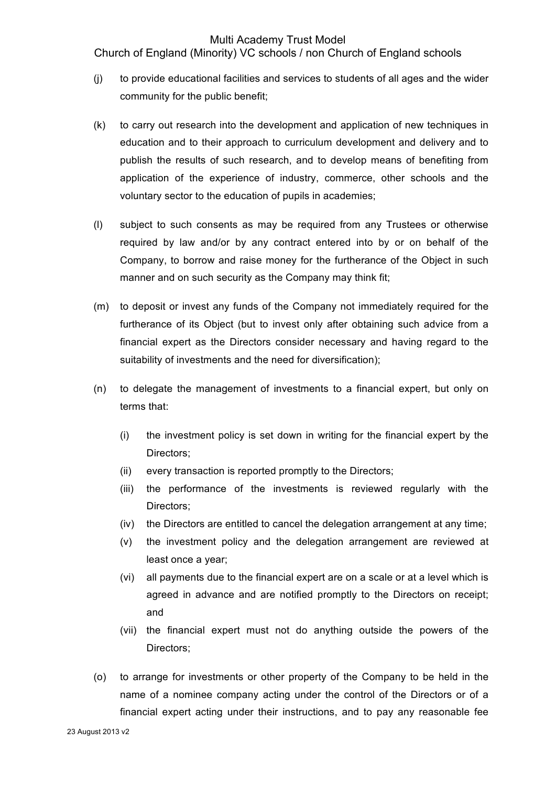Church of England (Minority) VC schools / non Church of England schools

- (j) to provide educational facilities and services to students of all ages and the wider community for the public benefit;
- (k) to carry out research into the development and application of new techniques in education and to their approach to curriculum development and delivery and to publish the results of such research, and to develop means of benefiting from application of the experience of industry, commerce, other schools and the voluntary sector to the education of pupils in academies;
- (l) subject to such consents as may be required from any Trustees or otherwise required by law and/or by any contract entered into by or on behalf of the Company, to borrow and raise money for the furtherance of the Object in such manner and on such security as the Company may think fit;
- (m) to deposit or invest any funds of the Company not immediately required for the furtherance of its Object (but to invest only after obtaining such advice from a financial expert as the Directors consider necessary and having regard to the suitability of investments and the need for diversification);
- (n) to delegate the management of investments to a financial expert, but only on terms that:
	- (i) the investment policy is set down in writing for the financial expert by the Directors;
	- (ii) every transaction is reported promptly to the Directors;
	- (iii) the performance of the investments is reviewed regularly with the Directors;
	- (iv) the Directors are entitled to cancel the delegation arrangement at any time;
	- (v) the investment policy and the delegation arrangement are reviewed at least once a year;
	- (vi) all payments due to the financial expert are on a scale or at a level which is agreed in advance and are notified promptly to the Directors on receipt; and
	- (vii) the financial expert must not do anything outside the powers of the Directors;
- (o) to arrange for investments or other property of the Company to be held in the name of a nominee company acting under the control of the Directors or of a financial expert acting under their instructions, and to pay any reasonable fee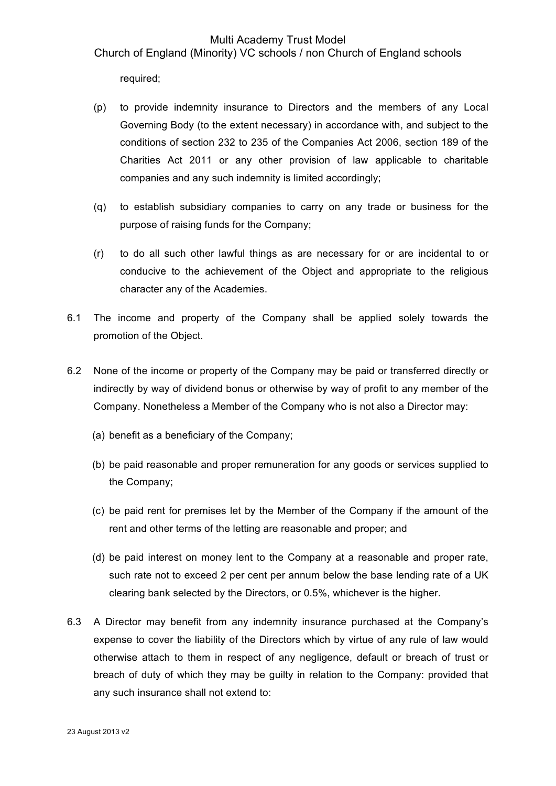Church of England (Minority) VC schools / non Church of England schools

required;

- (p) to provide indemnity insurance to Directors and the members of any Local Governing Body (to the extent necessary) in accordance with, and subject to the conditions of section 232 to 235 of the Companies Act 2006, section 189 of the Charities Act 2011 or any other provision of law applicable to charitable companies and any such indemnity is limited accordingly;
- (q) to establish subsidiary companies to carry on any trade or business for the purpose of raising funds for the Company;
- (r) to do all such other lawful things as are necessary for or are incidental to or conducive to the achievement of the Object and appropriate to the religious character any of the Academies.
- 6.1 The income and property of the Company shall be applied solely towards the promotion of the Object.
- 6.2 None of the income or property of the Company may be paid or transferred directly or indirectly by way of dividend bonus or otherwise by way of profit to any member of the Company. Nonetheless a Member of the Company who is not also a Director may:
	- (a) benefit as a beneficiary of the Company;
	- (b) be paid reasonable and proper remuneration for any goods or services supplied to the Company;
	- (c) be paid rent for premises let by the Member of the Company if the amount of the rent and other terms of the letting are reasonable and proper; and
	- (d) be paid interest on money lent to the Company at a reasonable and proper rate, such rate not to exceed 2 per cent per annum below the base lending rate of a UK clearing bank selected by the Directors, or 0.5%, whichever is the higher.
- 6.3 A Director may benefit from any indemnity insurance purchased at the Company's expense to cover the liability of the Directors which by virtue of any rule of law would otherwise attach to them in respect of any negligence, default or breach of trust or breach of duty of which they may be guilty in relation to the Company: provided that any such insurance shall not extend to: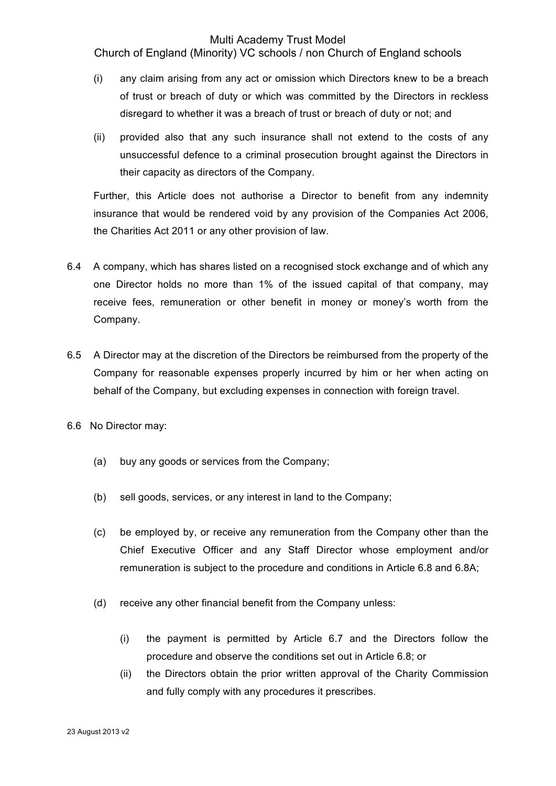Church of England (Minority) VC schools / non Church of England schools

- (i) any claim arising from any act or omission which Directors knew to be a breach of trust or breach of duty or which was committed by the Directors in reckless disregard to whether it was a breach of trust or breach of duty or not; and
- (ii) provided also that any such insurance shall not extend to the costs of any unsuccessful defence to a criminal prosecution brought against the Directors in their capacity as directors of the Company.

Further, this Article does not authorise a Director to benefit from any indemnity insurance that would be rendered void by any provision of the Companies Act 2006, the Charities Act 2011 or any other provision of law.

- 6.4 A company, which has shares listed on a recognised stock exchange and of which any one Director holds no more than 1% of the issued capital of that company, may receive fees, remuneration or other benefit in money or money's worth from the Company.
- 6.5 A Director may at the discretion of the Directors be reimbursed from the property of the Company for reasonable expenses properly incurred by him or her when acting on behalf of the Company, but excluding expenses in connection with foreign travel.
- 6.6 No Director may:
	- (a) buy any goods or services from the Company;
	- (b) sell goods, services, or any interest in land to the Company;
	- (c) be employed by, or receive any remuneration from the Company other than the Chief Executive Officer and any Staff Director whose employment and/or remuneration is subject to the procedure and conditions in Article 6.8 and 6.8A;
	- (d) receive any other financial benefit from the Company unless:
		- (i) the payment is permitted by Article 6.7 and the Directors follow the procedure and observe the conditions set out in Article 6.8; or
		- (ii) the Directors obtain the prior written approval of the Charity Commission and fully comply with any procedures it prescribes.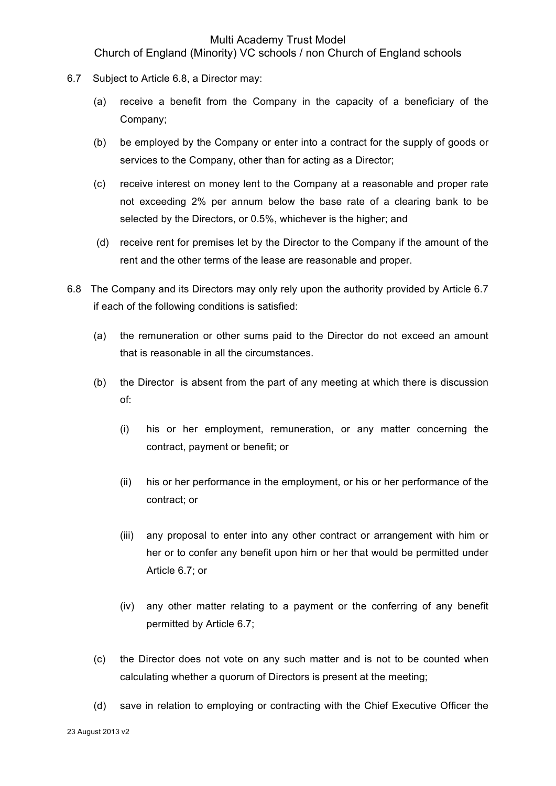Church of England (Minority) VC schools / non Church of England schools

- 6.7 Subject to Article 6.8, a Director may:
	- (a) receive a benefit from the Company in the capacity of a beneficiary of the Company;
	- (b) be employed by the Company or enter into a contract for the supply of goods or services to the Company, other than for acting as a Director;
	- (c) receive interest on money lent to the Company at a reasonable and proper rate not exceeding 2% per annum below the base rate of a clearing bank to be selected by the Directors, or 0.5%, whichever is the higher; and
	- (d) receive rent for premises let by the Director to the Company if the amount of the rent and the other terms of the lease are reasonable and proper.
- 6.8 The Company and its Directors may only rely upon the authority provided by Article 6.7 if each of the following conditions is satisfied:
	- (a) the remuneration or other sums paid to the Director do not exceed an amount that is reasonable in all the circumstances.
	- (b) the Director is absent from the part of any meeting at which there is discussion of:
		- (i) his or her employment, remuneration, or any matter concerning the contract, payment or benefit; or
		- (ii) his or her performance in the employment, or his or her performance of the contract; or
		- (iii) any proposal to enter into any other contract or arrangement with him or her or to confer any benefit upon him or her that would be permitted under Article 6.7; or
		- (iv) any other matter relating to a payment or the conferring of any benefit permitted by Article 6.7;
	- (c) the Director does not vote on any such matter and is not to be counted when calculating whether a quorum of Directors is present at the meeting;
	- (d) save in relation to employing or contracting with the Chief Executive Officer the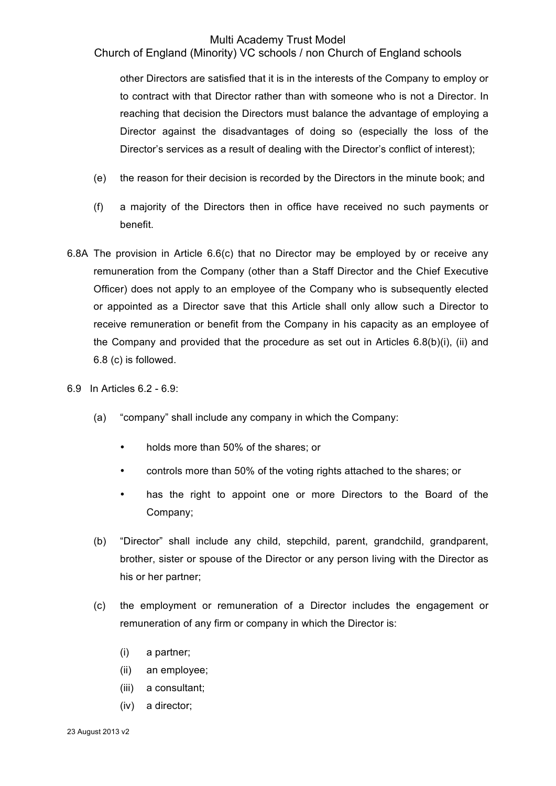Church of England (Minority) VC schools / non Church of England schools

other Directors are satisfied that it is in the interests of the Company to employ or to contract with that Director rather than with someone who is not a Director. In reaching that decision the Directors must balance the advantage of employing a Director against the disadvantages of doing so (especially the loss of the Director's services as a result of dealing with the Director's conflict of interest);

- (e) the reason for their decision is recorded by the Directors in the minute book; and
- (f) a majority of the Directors then in office have received no such payments or benefit.
- 6.8A The provision in Article 6.6(c) that no Director may be employed by or receive any remuneration from the Company (other than a Staff Director and the Chief Executive Officer) does not apply to an employee of the Company who is subsequently elected or appointed as a Director save that this Article shall only allow such a Director to receive remuneration or benefit from the Company in his capacity as an employee of the Company and provided that the procedure as set out in Articles 6.8(b)(i), (ii) and 6.8 (c) is followed.
- 6.9 In Articles 6.2 6.9:
	- (a) "company" shall include any company in which the Company:
		- holds more than 50% of the shares; or
		- controls more than 50% of the voting rights attached to the shares; or
		- has the right to appoint one or more Directors to the Board of the Company;
	- (b) "Director" shall include any child, stepchild, parent, grandchild, grandparent, brother, sister or spouse of the Director or any person living with the Director as his or her partner;
	- (c) the employment or remuneration of a Director includes the engagement or remuneration of any firm or company in which the Director is:
		- (i) a partner;
		- (ii) an employee;
		- (iii) a consultant;
		- (iv) a director;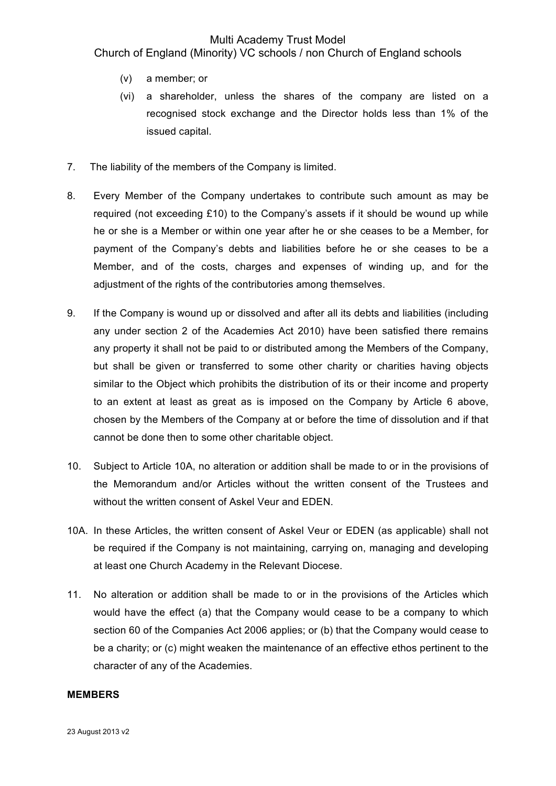Church of England (Minority) VC schools / non Church of England schools

- (v) a member; or
- (vi) a shareholder, unless the shares of the company are listed on a recognised stock exchange and the Director holds less than 1% of the issued capital.
- 7. The liability of the members of the Company is limited.
- 8. Every Member of the Company undertakes to contribute such amount as may be required (not exceeding £10) to the Company's assets if it should be wound up while he or she is a Member or within one year after he or she ceases to be a Member, for payment of the Company's debts and liabilities before he or she ceases to be a Member, and of the costs, charges and expenses of winding up, and for the adjustment of the rights of the contributories among themselves.
- 9. If the Company is wound up or dissolved and after all its debts and liabilities (including any under section 2 of the Academies Act 2010) have been satisfied there remains any property it shall not be paid to or distributed among the Members of the Company, but shall be given or transferred to some other charity or charities having objects similar to the Object which prohibits the distribution of its or their income and property to an extent at least as great as is imposed on the Company by Article 6 above, chosen by the Members of the Company at or before the time of dissolution and if that cannot be done then to some other charitable object.
- 10. Subject to Article 10A, no alteration or addition shall be made to or in the provisions of the Memorandum and/or Articles without the written consent of the Trustees and without the written consent of Askel Veur and EDEN.
- 10A. In these Articles, the written consent of Askel Veur or EDEN (as applicable) shall not be required if the Company is not maintaining, carrying on, managing and developing at least one Church Academy in the Relevant Diocese.
- 11. No alteration or addition shall be made to or in the provisions of the Articles which would have the effect (a) that the Company would cease to be a company to which section 60 of the Companies Act 2006 applies; or (b) that the Company would cease to be a charity; or (c) might weaken the maintenance of an effective ethos pertinent to the character of any of the Academies.

#### **MEMBERS**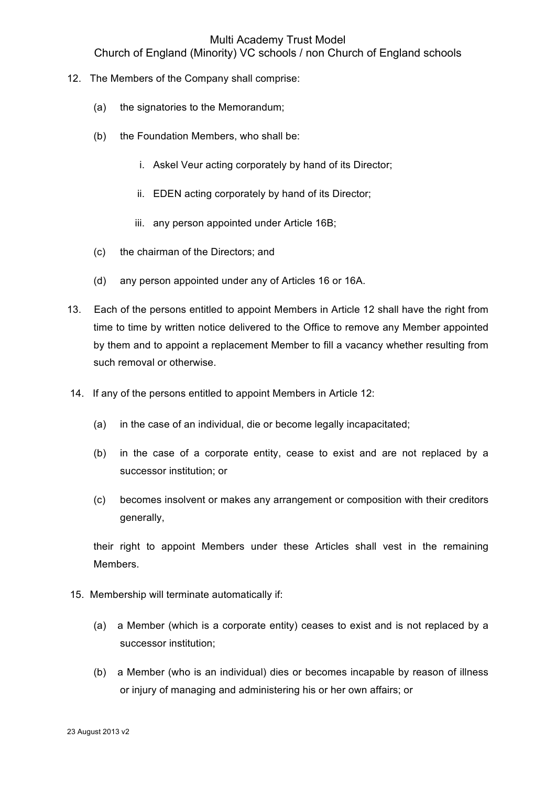Church of England (Minority) VC schools / non Church of England schools

- 12. The Members of the Company shall comprise:
	- (a) the signatories to the Memorandum;
	- (b) the Foundation Members, who shall be:
		- i. Askel Veur acting corporately by hand of its Director;
		- ii. EDEN acting corporately by hand of its Director;
		- iii. any person appointed under Article 16B;
	- (c) the chairman of the Directors; and
	- (d) any person appointed under any of Articles 16 or 16A.
- 13. Each of the persons entitled to appoint Members in Article 12 shall have the right from time to time by written notice delivered to the Office to remove any Member appointed by them and to appoint a replacement Member to fill a vacancy whether resulting from such removal or otherwise.
- 14. If any of the persons entitled to appoint Members in Article 12:
	- (a) in the case of an individual, die or become legally incapacitated;
	- (b) in the case of a corporate entity, cease to exist and are not replaced by a successor institution; or
	- (c) becomes insolvent or makes any arrangement or composition with their creditors generally,

their right to appoint Members under these Articles shall vest in the remaining Members.

- 15. Membership will terminate automatically if:
	- (a) a Member (which is a corporate entity) ceases to exist and is not replaced by a successor institution;
	- (b) a Member (who is an individual) dies or becomes incapable by reason of illness or injury of managing and administering his or her own affairs; or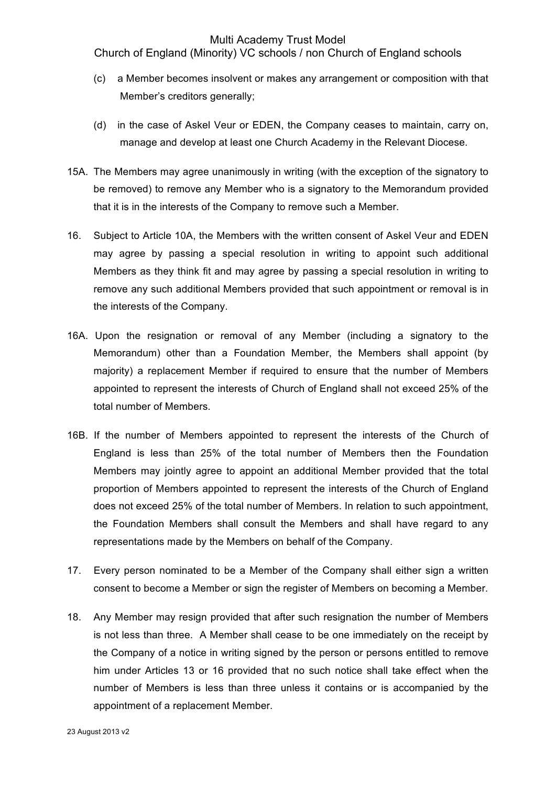Church of England (Minority) VC schools / non Church of England schools

- (c) a Member becomes insolvent or makes any arrangement or composition with that Member's creditors generally;
- (d) in the case of Askel Veur or EDEN, the Company ceases to maintain, carry on, manage and develop at least one Church Academy in the Relevant Diocese.
- 15A. The Members may agree unanimously in writing (with the exception of the signatory to be removed) to remove any Member who is a signatory to the Memorandum provided that it is in the interests of the Company to remove such a Member.
- 16. Subject to Article 10A, the Members with the written consent of Askel Veur and EDEN may agree by passing a special resolution in writing to appoint such additional Members as they think fit and may agree by passing a special resolution in writing to remove any such additional Members provided that such appointment or removal is in the interests of the Company.
- 16A. Upon the resignation or removal of any Member (including a signatory to the Memorandum) other than a Foundation Member, the Members shall appoint (by majority) a replacement Member if required to ensure that the number of Members appointed to represent the interests of Church of England shall not exceed 25% of the total number of Members.
- 16B. If the number of Members appointed to represent the interests of the Church of England is less than 25% of the total number of Members then the Foundation Members may jointly agree to appoint an additional Member provided that the total proportion of Members appointed to represent the interests of the Church of England does not exceed 25% of the total number of Members. In relation to such appointment, the Foundation Members shall consult the Members and shall have regard to any representations made by the Members on behalf of the Company.
- 17. Every person nominated to be a Member of the Company shall either sign a written consent to become a Member or sign the register of Members on becoming a Member.
- 18. Any Member may resign provided that after such resignation the number of Members is not less than three. A Member shall cease to be one immediately on the receipt by the Company of a notice in writing signed by the person or persons entitled to remove him under Articles 13 or 16 provided that no such notice shall take effect when the number of Members is less than three unless it contains or is accompanied by the appointment of a replacement Member.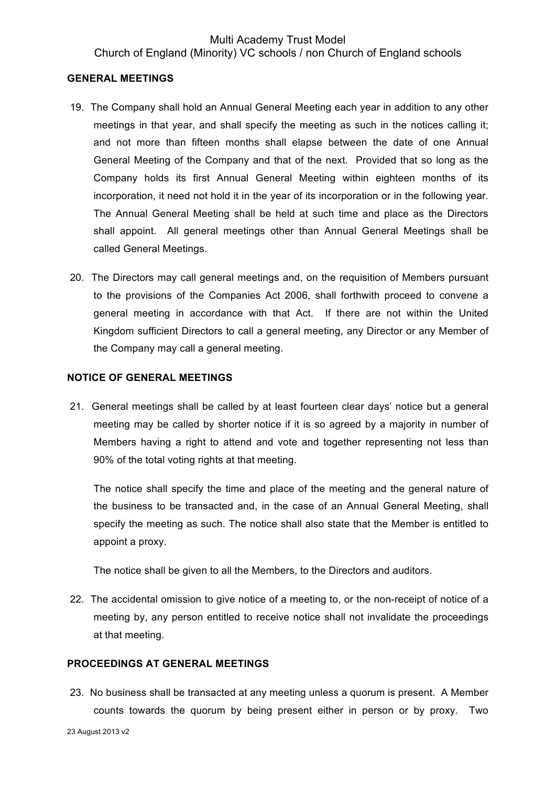## Multi Academy Trust Model Church of England (Minority) VC schools / non Church of England schools

#### **GENERAL MEETINGS**

- 19. The Company shall hold an Annual General Meeting each year in addition to any other meetings in that year, and shall specify the meeting as such in the notices calling it; and not more than fifteen months shall elapse between the date of one Annual General Meeting of the Company and that of the next. Provided that so long as the Company holds its first Annual General Meeting within eighteen months of its incorporation, it need not hold it in the year of its incorporation or in the following year. The Annual General Meeting shall be held at such time and place as the Directors shall appoint. All general meetings other than Annual General Meetings shall be called General Meetings.
- 20. The Directors may call general meetings and, on the requisition of Members pursuant to the provisions of the Companies Act 2006, shall forthwith proceed to convene a general meeting in accordance with that Act. If there are not within the United Kingdom sufficient Directors to call a general meeting, any Director or any Member of the Company may call a general meeting.

### **NOTICE OF GENERAL MEETINGS**

21. General meetings shall be called by at least fourteen clear days' notice but a general meeting may be called by shorter notice if it is so agreed by a majority in number of Members having a right to attend and vote and together representing not less than 90% of the total voting rights at that meeting.

The notice shall specify the time and place of the meeting and the general nature of the business to be transacted and, in the case of an Annual General Meeting, shall specify the meeting as such. The notice shall also state that the Member is entitled to appoint a proxy.

The notice shall be given to all the Members, to the Directors and auditors.

22. The accidental omission to give notice of a meeting to, or the non-receipt of notice of a meeting by, any person entitled to receive notice shall not invalidate the proceedings at that meeting.

### **PROCEEDINGS AT GENERAL MEETINGS**

23. No business shall be transacted at any meeting unless a quorum is present. A Member counts towards the quorum by being present either in person or by proxy. Two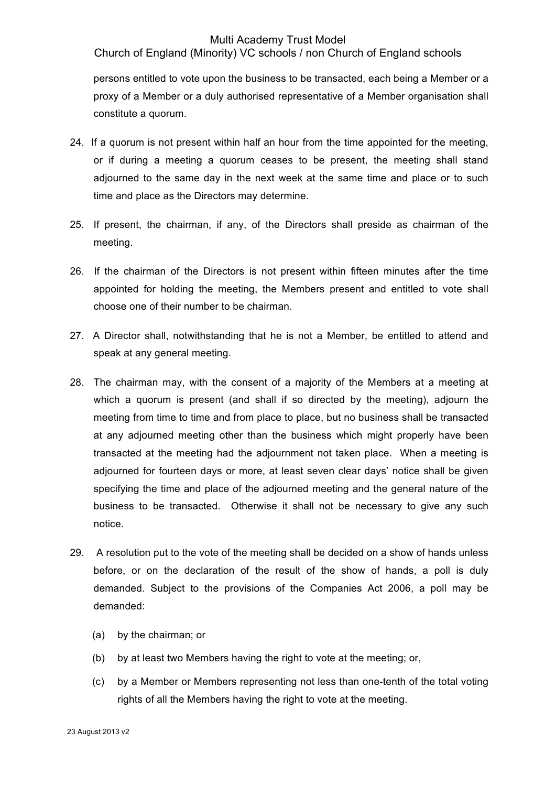Church of England (Minority) VC schools / non Church of England schools

persons entitled to vote upon the business to be transacted, each being a Member or a proxy of a Member or a duly authorised representative of a Member organisation shall constitute a quorum.

- 24. If a quorum is not present within half an hour from the time appointed for the meeting, or if during a meeting a quorum ceases to be present, the meeting shall stand adjourned to the same day in the next week at the same time and place or to such time and place as the Directors may determine.
- 25. If present, the chairman, if any, of the Directors shall preside as chairman of the meeting.
- 26. If the chairman of the Directors is not present within fifteen minutes after the time appointed for holding the meeting, the Members present and entitled to vote shall choose one of their number to be chairman.
- 27. A Director shall, notwithstanding that he is not a Member, be entitled to attend and speak at any general meeting.
- 28. The chairman may, with the consent of a majority of the Members at a meeting at which a quorum is present (and shall if so directed by the meeting), adjourn the meeting from time to time and from place to place, but no business shall be transacted at any adjourned meeting other than the business which might properly have been transacted at the meeting had the adjournment not taken place. When a meeting is adjourned for fourteen days or more, at least seven clear days' notice shall be given specifying the time and place of the adjourned meeting and the general nature of the business to be transacted. Otherwise it shall not be necessary to give any such notice.
- 29. A resolution put to the vote of the meeting shall be decided on a show of hands unless before, or on the declaration of the result of the show of hands, a poll is duly demanded. Subject to the provisions of the Companies Act 2006, a poll may be demanded:
	- (a) by the chairman; or
	- (b) by at least two Members having the right to vote at the meeting; or,
	- (c) by a Member or Members representing not less than one-tenth of the total voting rights of all the Members having the right to vote at the meeting.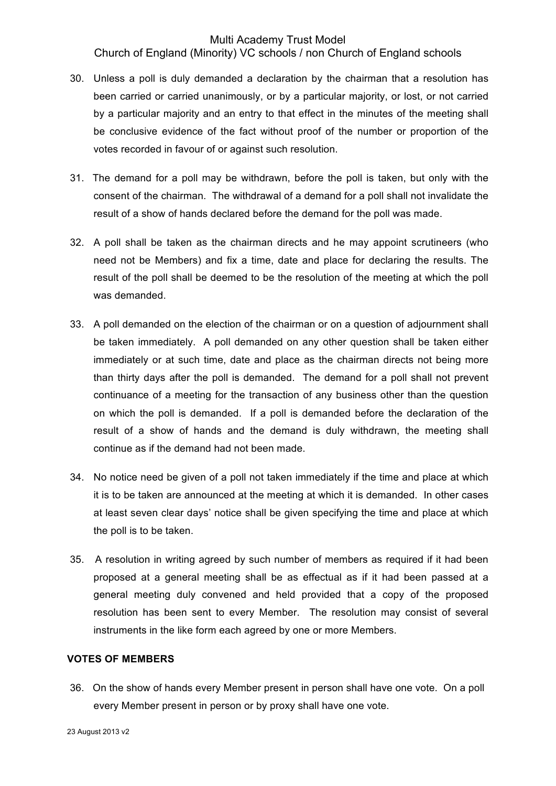Church of England (Minority) VC schools / non Church of England schools

- 30. Unless a poll is duly demanded a declaration by the chairman that a resolution has been carried or carried unanimously, or by a particular majority, or lost, or not carried by a particular majority and an entry to that effect in the minutes of the meeting shall be conclusive evidence of the fact without proof of the number or proportion of the votes recorded in favour of or against such resolution.
- 31. The demand for a poll may be withdrawn, before the poll is taken, but only with the consent of the chairman. The withdrawal of a demand for a poll shall not invalidate the result of a show of hands declared before the demand for the poll was made.
- 32. A poll shall be taken as the chairman directs and he may appoint scrutineers (who need not be Members) and fix a time, date and place for declaring the results. The result of the poll shall be deemed to be the resolution of the meeting at which the poll was demanded.
- 33. A poll demanded on the election of the chairman or on a question of adjournment shall be taken immediately. A poll demanded on any other question shall be taken either immediately or at such time, date and place as the chairman directs not being more than thirty days after the poll is demanded. The demand for a poll shall not prevent continuance of a meeting for the transaction of any business other than the question on which the poll is demanded. If a poll is demanded before the declaration of the result of a show of hands and the demand is duly withdrawn, the meeting shall continue as if the demand had not been made.
- 34. No notice need be given of a poll not taken immediately if the time and place at which it is to be taken are announced at the meeting at which it is demanded. In other cases at least seven clear days' notice shall be given specifying the time and place at which the poll is to be taken.
- 35. A resolution in writing agreed by such number of members as required if it had been proposed at a general meeting shall be as effectual as if it had been passed at a general meeting duly convened and held provided that a copy of the proposed resolution has been sent to every Member. The resolution may consist of several instruments in the like form each agreed by one or more Members.

#### **VOTES OF MEMBERS**

36. On the show of hands every Member present in person shall have one vote. On a poll every Member present in person or by proxy shall have one vote.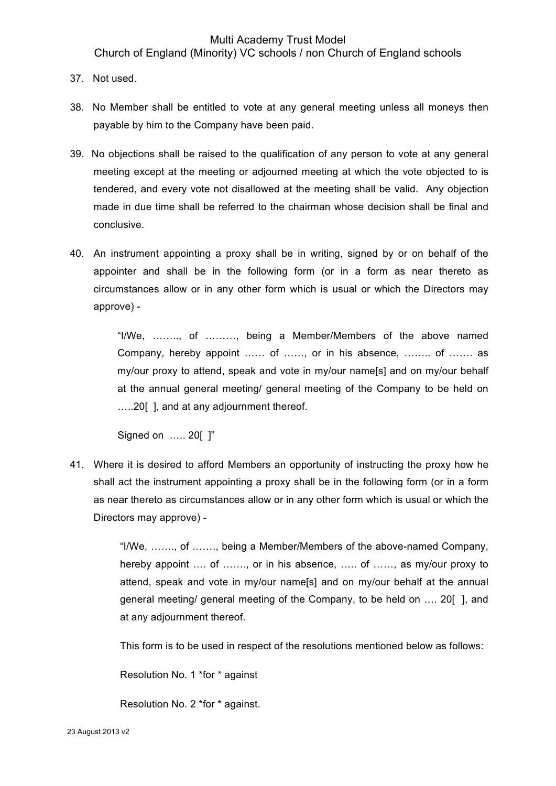Church of England (Minority) VC schools / non Church of England schools

- 37. Not used.
- 38. No Member shall be entitled to vote at any general meeting unless all moneys then payable by him to the Company have been paid.
- 39. No objections shall be raised to the qualification of any person to vote at any general meeting except at the meeting or adjourned meeting at which the vote objected to is tendered, and every vote not disallowed at the meeting shall be valid. Any objection made in due time shall be referred to the chairman whose decision shall be final and conclusive.
- 40. An instrument appointing a proxy shall be in writing, signed by or on behalf of the appointer and shall be in the following form (or in a form as near thereto as circumstances allow or in any other form which is usual or which the Directors may approve) -

"I/We, …….., of ………, being a Member/Members of the above named Company, hereby appoint …… of ……, or in his absence, …….. of ……. as my/our proxy to attend, speak and vote in my/our name[s] and on my/our behalf at the annual general meeting/ general meeting of the Company to be held on …..20[ ], and at any adjournment thereof.

Signed on ….. 20[ ]"

41. Where it is desired to afford Members an opportunity of instructing the proxy how he shall act the instrument appointing a proxy shall be in the following form (or in a form as near thereto as circumstances allow or in any other form which is usual or which the Directors may approve) -

> "I/We, ……., of ……., being a Member/Members of the above-named Company, hereby appoint .... of ......., or in his absence, ..... of ......, as my/our proxy to attend, speak and vote in my/our name[s] and on my/our behalf at the annual general meeting/ general meeting of the Company, to be held on …. 20[ ], and at any adjournment thereof.

This form is to be used in respect of the resolutions mentioned below as follows:

Resolution No. 1 \*for \* against

Resolution No. 2 \*for \* against.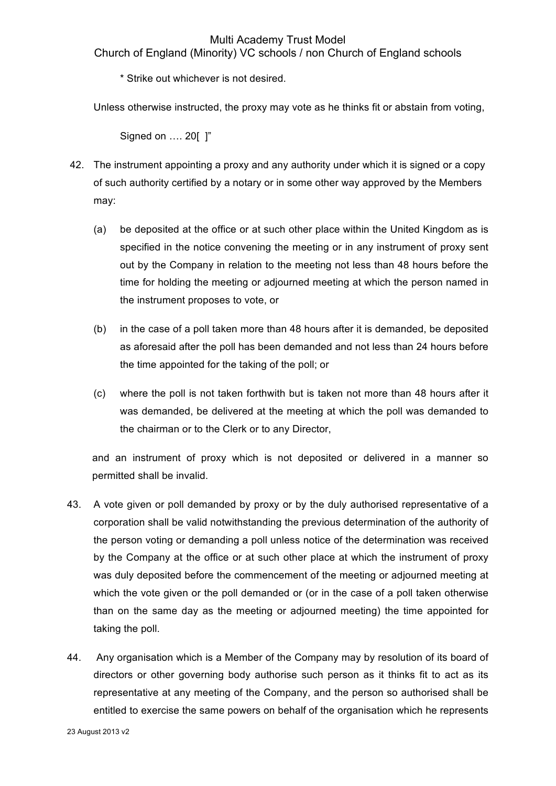Church of England (Minority) VC schools / non Church of England schools

\* Strike out whichever is not desired.

Unless otherwise instructed, the proxy may vote as he thinks fit or abstain from voting,

Signed on …. 20[ ]"

- 42. The instrument appointing a proxy and any authority under which it is signed or a copy of such authority certified by a notary or in some other way approved by the Members may:
	- (a) be deposited at the office or at such other place within the United Kingdom as is specified in the notice convening the meeting or in any instrument of proxy sent out by the Company in relation to the meeting not less than 48 hours before the time for holding the meeting or adjourned meeting at which the person named in the instrument proposes to vote, or
	- (b) in the case of a poll taken more than 48 hours after it is demanded, be deposited as aforesaid after the poll has been demanded and not less than 24 hours before the time appointed for the taking of the poll; or
	- (c) where the poll is not taken forthwith but is taken not more than 48 hours after it was demanded, be delivered at the meeting at which the poll was demanded to the chairman or to the Clerk or to any Director,

and an instrument of proxy which is not deposited or delivered in a manner so permitted shall be invalid.

- 43. A vote given or poll demanded by proxy or by the duly authorised representative of a corporation shall be valid notwithstanding the previous determination of the authority of the person voting or demanding a poll unless notice of the determination was received by the Company at the office or at such other place at which the instrument of proxy was duly deposited before the commencement of the meeting or adjourned meeting at which the vote given or the poll demanded or (or in the case of a poll taken otherwise than on the same day as the meeting or adjourned meeting) the time appointed for taking the poll.
- 44. Any organisation which is a Member of the Company may by resolution of its board of directors or other governing body authorise such person as it thinks fit to act as its representative at any meeting of the Company, and the person so authorised shall be entitled to exercise the same powers on behalf of the organisation which he represents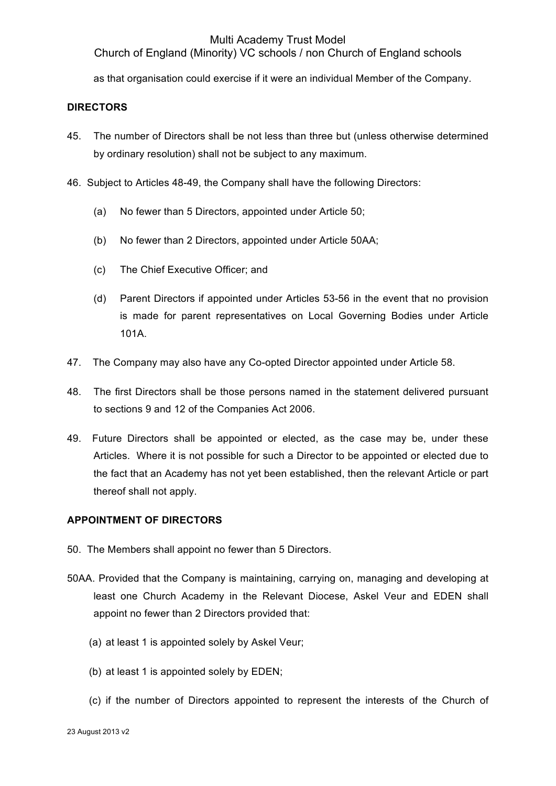Church of England (Minority) VC schools / non Church of England schools

as that organisation could exercise if it were an individual Member of the Company.

## **DIRECTORS**

- 45. The number of Directors shall be not less than three but (unless otherwise determined by ordinary resolution) shall not be subject to any maximum.
- 46. Subject to Articles 48-49, the Company shall have the following Directors:
	- (a) No fewer than 5 Directors, appointed under Article 50;
	- (b) No fewer than 2 Directors, appointed under Article 50AA;
	- (c) The Chief Executive Officer; and
	- (d) Parent Directors if appointed under Articles 53-56 in the event that no provision is made for parent representatives on Local Governing Bodies under Article 101A.
- 47. The Company may also have any Co-opted Director appointed under Article 58.
- 48. The first Directors shall be those persons named in the statement delivered pursuant to sections 9 and 12 of the Companies Act 2006.
- 49. Future Directors shall be appointed or elected, as the case may be, under these Articles. Where it is not possible for such a Director to be appointed or elected due to the fact that an Academy has not yet been established, then the relevant Article or part thereof shall not apply.

## **APPOINTMENT OF DIRECTORS**

- 50. The Members shall appoint no fewer than 5 Directors.
- 50AA. Provided that the Company is maintaining, carrying on, managing and developing at least one Church Academy in the Relevant Diocese, Askel Veur and EDEN shall appoint no fewer than 2 Directors provided that:
	- (a) at least 1 is appointed solely by Askel Veur;
	- (b) at least 1 is appointed solely by EDEN;
	- (c) if the number of Directors appointed to represent the interests of the Church of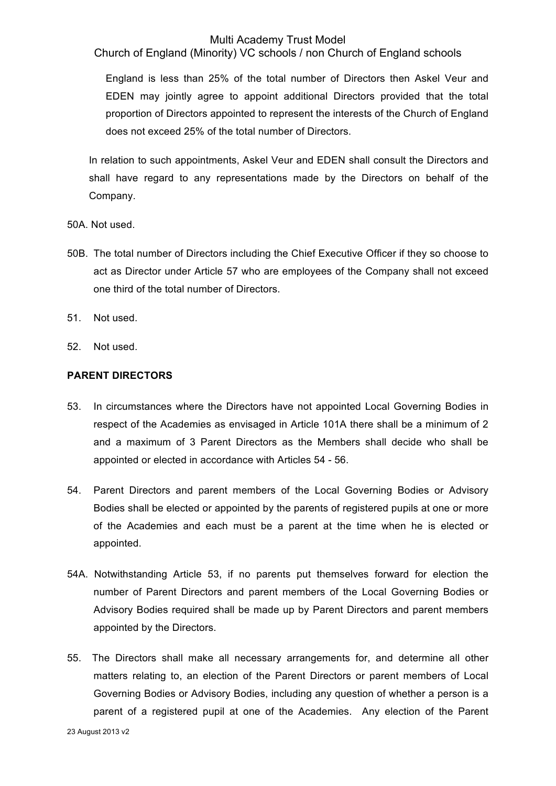Church of England (Minority) VC schools / non Church of England schools

England is less than 25% of the total number of Directors then Askel Veur and EDEN may jointly agree to appoint additional Directors provided that the total proportion of Directors appointed to represent the interests of the Church of England does not exceed 25% of the total number of Directors.

In relation to such appointments, Askel Veur and EDEN shall consult the Directors and shall have regard to any representations made by the Directors on behalf of the Company.

50A. Not used.

- 50B. The total number of Directors including the Chief Executive Officer if they so choose to act as Director under Article 57 who are employees of the Company shall not exceed one third of the total number of Directors.
- 51. Not used.
- 52. Not used.

## **PARENT DIRECTORS**

- 53. In circumstances where the Directors have not appointed Local Governing Bodies in respect of the Academies as envisaged in Article 101A there shall be a minimum of 2 and a maximum of 3 Parent Directors as the Members shall decide who shall be appointed or elected in accordance with Articles 54 - 56.
- 54. Parent Directors and parent members of the Local Governing Bodies or Advisory Bodies shall be elected or appointed by the parents of registered pupils at one or more of the Academies and each must be a parent at the time when he is elected or appointed.
- 54A. Notwithstanding Article 53, if no parents put themselves forward for election the number of Parent Directors and parent members of the Local Governing Bodies or Advisory Bodies required shall be made up by Parent Directors and parent members appointed by the Directors.
- 55. The Directors shall make all necessary arrangements for, and determine all other matters relating to, an election of the Parent Directors or parent members of Local Governing Bodies or Advisory Bodies, including any question of whether a person is a parent of a registered pupil at one of the Academies. Any election of the Parent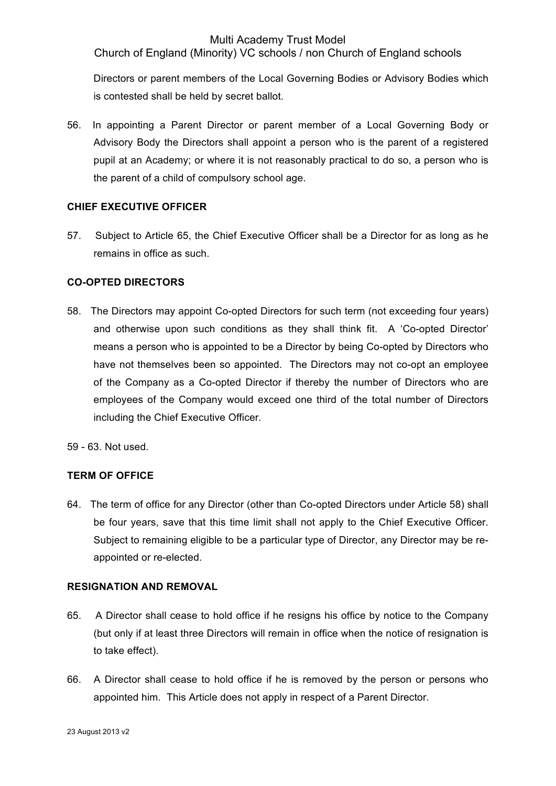Church of England (Minority) VC schools / non Church of England schools

Directors or parent members of the Local Governing Bodies or Advisory Bodies which is contested shall be held by secret ballot.

56. In appointing a Parent Director or parent member of a Local Governing Body or Advisory Body the Directors shall appoint a person who is the parent of a registered pupil at an Academy; or where it is not reasonably practical to do so, a person who is the parent of a child of compulsory school age.

## **CHIEF EXECUTIVE OFFICER**

57. Subject to Article 65, the Chief Executive Officer shall be a Director for as long as he remains in office as such.

### **CO-OPTED DIRECTORS**

58. The Directors may appoint Co-opted Directors for such term (not exceeding four years) and otherwise upon such conditions as they shall think fit. A 'Co-opted Director' means a person who is appointed to be a Director by being Co-opted by Directors who have not themselves been so appointed. The Directors may not co-opt an employee of the Company as a Co-opted Director if thereby the number of Directors who are employees of the Company would exceed one third of the total number of Directors including the Chief Executive Officer.

59 - 63. Not used.

### **TERM OF OFFICE**

64. The term of office for any Director (other than Co-opted Directors under Article 58) shall be four years, save that this time limit shall not apply to the Chief Executive Officer. Subject to remaining eligible to be a particular type of Director, any Director may be reappointed or re-elected.

### **RESIGNATION AND REMOVAL**

- 65. A Director shall cease to hold office if he resigns his office by notice to the Company (but only if at least three Directors will remain in office when the notice of resignation is to take effect).
- 66. A Director shall cease to hold office if he is removed by the person or persons who appointed him. This Article does not apply in respect of a Parent Director.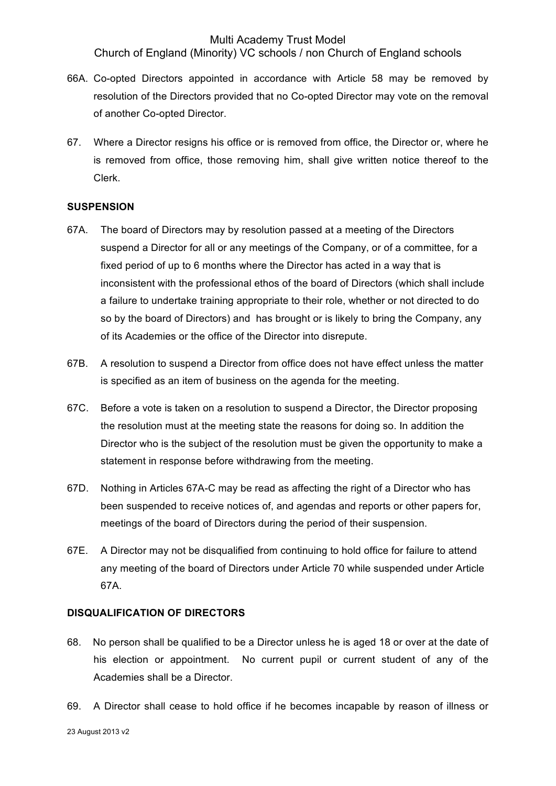Church of England (Minority) VC schools / non Church of England schools

- 66A. Co-opted Directors appointed in accordance with Article 58 may be removed by resolution of the Directors provided that no Co-opted Director may vote on the removal of another Co-opted Director.
- 67. Where a Director resigns his office or is removed from office, the Director or, where he is removed from office, those removing him, shall give written notice thereof to the Clerk.

#### **SUSPENSION**

- 67A. The board of Directors may by resolution passed at a meeting of the Directors suspend a Director for all or any meetings of the Company, or of a committee, for a fixed period of up to 6 months where the Director has acted in a way that is inconsistent with the professional ethos of the board of Directors (which shall include a failure to undertake training appropriate to their role, whether or not directed to do so by the board of Directors) and has brought or is likely to bring the Company, any of its Academies or the office of the Director into disrepute.
- 67B. A resolution to suspend a Director from office does not have effect unless the matter is specified as an item of business on the agenda for the meeting.
- 67C. Before a vote is taken on a resolution to suspend a Director, the Director proposing the resolution must at the meeting state the reasons for doing so. In addition the Director who is the subject of the resolution must be given the opportunity to make a statement in response before withdrawing from the meeting.
- 67D. Nothing in Articles 67A-C may be read as affecting the right of a Director who has been suspended to receive notices of, and agendas and reports or other papers for, meetings of the board of Directors during the period of their suspension.
- 67E. A Director may not be disqualified from continuing to hold office for failure to attend any meeting of the board of Directors under Article 70 while suspended under Article 67A.

### **DISQUALIFICATION OF DIRECTORS**

- 68. No person shall be qualified to be a Director unless he is aged 18 or over at the date of his election or appointment. No current pupil or current student of any of the Academies shall be a Director.
- 69. A Director shall cease to hold office if he becomes incapable by reason of illness or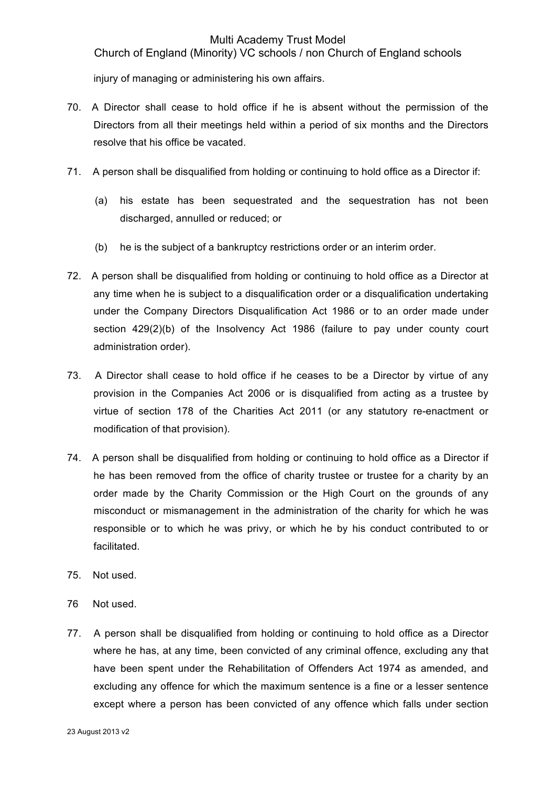Church of England (Minority) VC schools / non Church of England schools

injury of managing or administering his own affairs.

- 70. A Director shall cease to hold office if he is absent without the permission of the Directors from all their meetings held within a period of six months and the Directors resolve that his office be vacated.
- 71. A person shall be disqualified from holding or continuing to hold office as a Director if:
	- (a) his estate has been sequestrated and the sequestration has not been discharged, annulled or reduced; or
	- (b) he is the subject of a bankruptcy restrictions order or an interim order.
- 72. A person shall be disqualified from holding or continuing to hold office as a Director at any time when he is subject to a disqualification order or a disqualification undertaking under the Company Directors Disqualification Act 1986 or to an order made under section 429(2)(b) of the Insolvency Act 1986 (failure to pay under county court administration order).
- 73. A Director shall cease to hold office if he ceases to be a Director by virtue of any provision in the Companies Act 2006 or is disqualified from acting as a trustee by virtue of section 178 of the Charities Act 2011 (or any statutory re-enactment or modification of that provision).
- 74. A person shall be disqualified from holding or continuing to hold office as a Director if he has been removed from the office of charity trustee or trustee for a charity by an order made by the Charity Commission or the High Court on the grounds of any misconduct or mismanagement in the administration of the charity for which he was responsible or to which he was privy, or which he by his conduct contributed to or facilitated.
- 75. Not used.
- 76 Not used.
- 77. A person shall be disqualified from holding or continuing to hold office as a Director where he has, at any time, been convicted of any criminal offence, excluding any that have been spent under the Rehabilitation of Offenders Act 1974 as amended, and excluding any offence for which the maximum sentence is a fine or a lesser sentence except where a person has been convicted of any offence which falls under section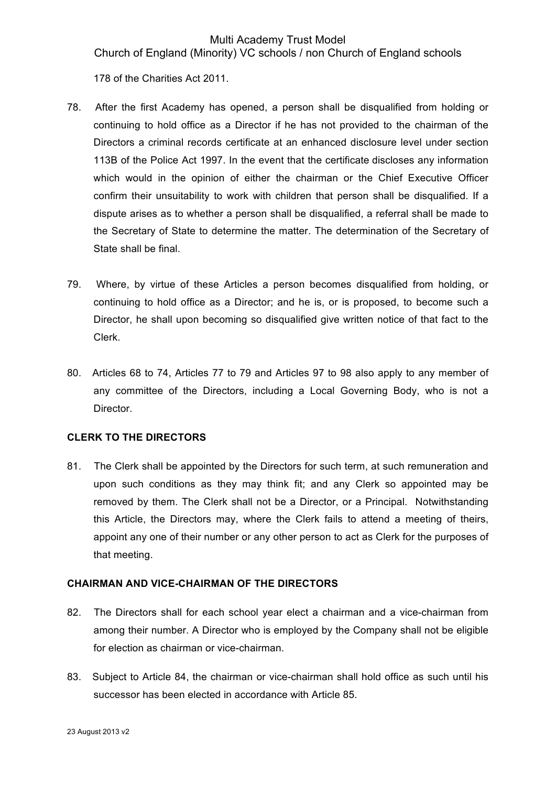Church of England (Minority) VC schools / non Church of England schools

178 of the Charities Act 2011.

- 78. After the first Academy has opened, a person shall be disqualified from holding or continuing to hold office as a Director if he has not provided to the chairman of the Directors a criminal records certificate at an enhanced disclosure level under section 113B of the Police Act 1997. In the event that the certificate discloses any information which would in the opinion of either the chairman or the Chief Executive Officer confirm their unsuitability to work with children that person shall be disqualified. If a dispute arises as to whether a person shall be disqualified, a referral shall be made to the Secretary of State to determine the matter. The determination of the Secretary of State shall be final.
- 79. Where, by virtue of these Articles a person becomes disqualified from holding, or continuing to hold office as a Director; and he is, or is proposed, to become such a Director, he shall upon becoming so disqualified give written notice of that fact to the Clerk.
- 80. Articles 68 to 74, Articles 77 to 79 and Articles 97 to 98 also apply to any member of any committee of the Directors, including a Local Governing Body, who is not a Director.

# **CLERK TO THE DIRECTORS**

81. The Clerk shall be appointed by the Directors for such term, at such remuneration and upon such conditions as they may think fit; and any Clerk so appointed may be removed by them. The Clerk shall not be a Director, or a Principal. Notwithstanding this Article, the Directors may, where the Clerk fails to attend a meeting of theirs, appoint any one of their number or any other person to act as Clerk for the purposes of that meeting.

### **CHAIRMAN AND VICE-CHAIRMAN OF THE DIRECTORS**

- 82. The Directors shall for each school year elect a chairman and a vice-chairman from among their number. A Director who is employed by the Company shall not be eligible for election as chairman or vice-chairman.
- 83. Subject to Article 84, the chairman or vice-chairman shall hold office as such until his successor has been elected in accordance with Article 85.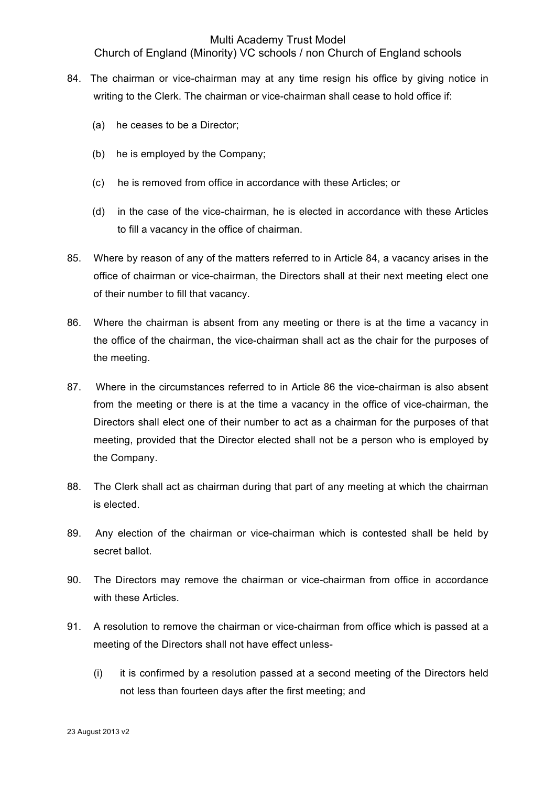Church of England (Minority) VC schools / non Church of England schools

- 84. The chairman or vice-chairman may at any time resign his office by giving notice in writing to the Clerk. The chairman or vice-chairman shall cease to hold office if:
	- (a) he ceases to be a Director;
	- (b) he is employed by the Company;
	- (c) he is removed from office in accordance with these Articles; or
	- (d) in the case of the vice-chairman, he is elected in accordance with these Articles to fill a vacancy in the office of chairman.
- 85. Where by reason of any of the matters referred to in Article 84, a vacancy arises in the office of chairman or vice-chairman, the Directors shall at their next meeting elect one of their number to fill that vacancy.
- 86. Where the chairman is absent from any meeting or there is at the time a vacancy in the office of the chairman, the vice-chairman shall act as the chair for the purposes of the meeting.
- 87. Where in the circumstances referred to in Article 86 the vice-chairman is also absent from the meeting or there is at the time a vacancy in the office of vice-chairman, the Directors shall elect one of their number to act as a chairman for the purposes of that meeting, provided that the Director elected shall not be a person who is employed by the Company.
- 88. The Clerk shall act as chairman during that part of any meeting at which the chairman is elected.
- 89. Any election of the chairman or vice-chairman which is contested shall be held by secret ballot.
- 90. The Directors may remove the chairman or vice-chairman from office in accordance with these Articles.
- 91. A resolution to remove the chairman or vice-chairman from office which is passed at a meeting of the Directors shall not have effect unless-
	- (i) it is confirmed by a resolution passed at a second meeting of the Directors held not less than fourteen days after the first meeting; and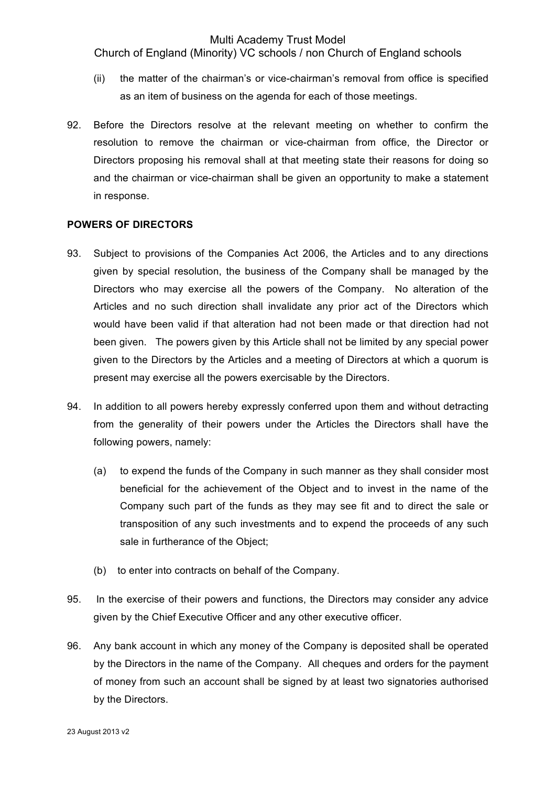Church of England (Minority) VC schools / non Church of England schools

- (ii) the matter of the chairman's or vice-chairman's removal from office is specified as an item of business on the agenda for each of those meetings.
- 92. Before the Directors resolve at the relevant meeting on whether to confirm the resolution to remove the chairman or vice-chairman from office, the Director or Directors proposing his removal shall at that meeting state their reasons for doing so and the chairman or vice-chairman shall be given an opportunity to make a statement in response.

#### **POWERS OF DIRECTORS**

- 93. Subject to provisions of the Companies Act 2006, the Articles and to any directions given by special resolution, the business of the Company shall be managed by the Directors who may exercise all the powers of the Company. No alteration of the Articles and no such direction shall invalidate any prior act of the Directors which would have been valid if that alteration had not been made or that direction had not been given. The powers given by this Article shall not be limited by any special power given to the Directors by the Articles and a meeting of Directors at which a quorum is present may exercise all the powers exercisable by the Directors.
- 94. In addition to all powers hereby expressly conferred upon them and without detracting from the generality of their powers under the Articles the Directors shall have the following powers, namely:
	- (a) to expend the funds of the Company in such manner as they shall consider most beneficial for the achievement of the Object and to invest in the name of the Company such part of the funds as they may see fit and to direct the sale or transposition of any such investments and to expend the proceeds of any such sale in furtherance of the Object;
	- (b) to enter into contracts on behalf of the Company.
- 95. In the exercise of their powers and functions, the Directors may consider any advice given by the Chief Executive Officer and any other executive officer.
- 96. Any bank account in which any money of the Company is deposited shall be operated by the Directors in the name of the Company. All cheques and orders for the payment of money from such an account shall be signed by at least two signatories authorised by the Directors.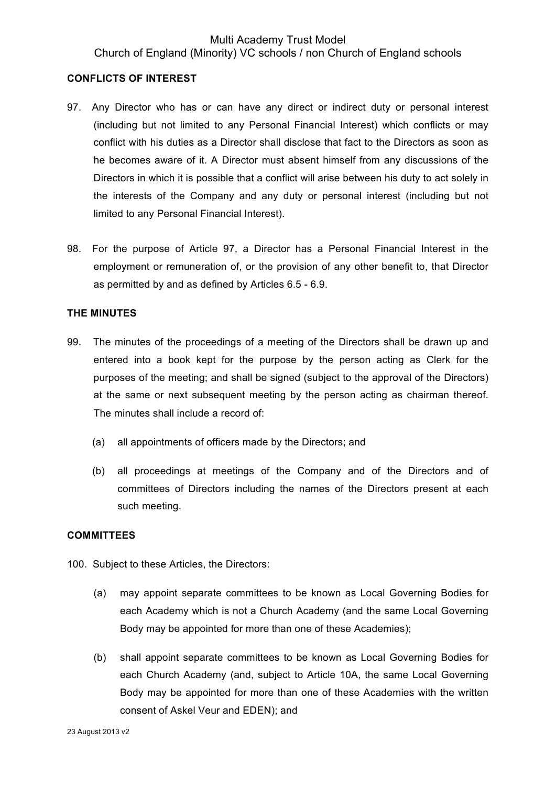## Multi Academy Trust Model Church of England (Minority) VC schools / non Church of England schools

#### **CONFLICTS OF INTEREST**

- 97. Any Director who has or can have any direct or indirect duty or personal interest (including but not limited to any Personal Financial Interest) which conflicts or may conflict with his duties as a Director shall disclose that fact to the Directors as soon as he becomes aware of it. A Director must absent himself from any discussions of the Directors in which it is possible that a conflict will arise between his duty to act solely in the interests of the Company and any duty or personal interest (including but not limited to any Personal Financial Interest).
- 98. For the purpose of Article 97, a Director has a Personal Financial Interest in the employment or remuneration of, or the provision of any other benefit to, that Director as permitted by and as defined by Articles 6.5 - 6.9.

#### **THE MINUTES**

- 99. The minutes of the proceedings of a meeting of the Directors shall be drawn up and entered into a book kept for the purpose by the person acting as Clerk for the purposes of the meeting; and shall be signed (subject to the approval of the Directors) at the same or next subsequent meeting by the person acting as chairman thereof. The minutes shall include a record of:
	- (a) all appointments of officers made by the Directors; and
	- (b) all proceedings at meetings of the Company and of the Directors and of committees of Directors including the names of the Directors present at each such meeting.

### **COMMITTEES**

100. Subject to these Articles, the Directors:

- (a) may appoint separate committees to be known as Local Governing Bodies for each Academy which is not a Church Academy (and the same Local Governing Body may be appointed for more than one of these Academies);
- (b) shall appoint separate committees to be known as Local Governing Bodies for each Church Academy (and, subject to Article 10A, the same Local Governing Body may be appointed for more than one of these Academies with the written consent of Askel Veur and EDEN); and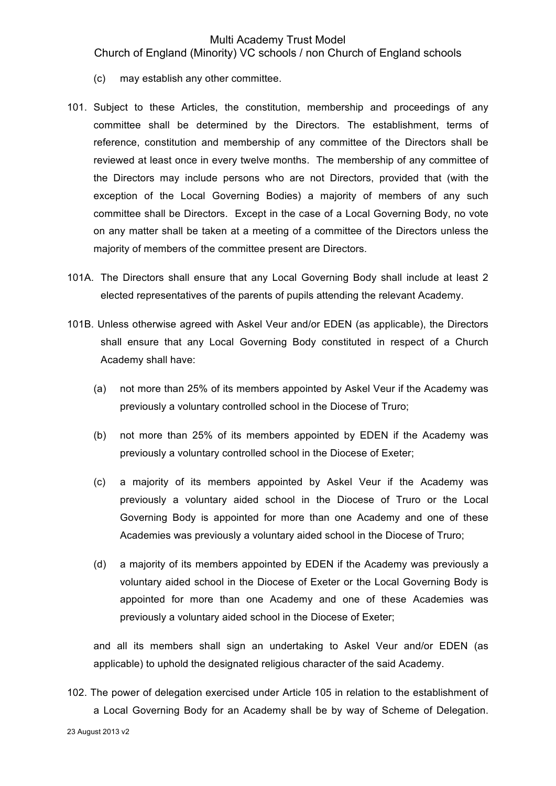Church of England (Minority) VC schools / non Church of England schools

- (c) may establish any other committee.
- 101. Subject to these Articles, the constitution, membership and proceedings of any committee shall be determined by the Directors. The establishment, terms of reference, constitution and membership of any committee of the Directors shall be reviewed at least once in every twelve months. The membership of any committee of the Directors may include persons who are not Directors, provided that (with the exception of the Local Governing Bodies) a majority of members of any such committee shall be Directors. Except in the case of a Local Governing Body, no vote on any matter shall be taken at a meeting of a committee of the Directors unless the majority of members of the committee present are Directors.
- 101A. The Directors shall ensure that any Local Governing Body shall include at least 2 elected representatives of the parents of pupils attending the relevant Academy.
- 101B. Unless otherwise agreed with Askel Veur and/or EDEN (as applicable), the Directors shall ensure that any Local Governing Body constituted in respect of a Church Academy shall have:
	- (a) not more than 25% of its members appointed by Askel Veur if the Academy was previously a voluntary controlled school in the Diocese of Truro;
	- (b) not more than 25% of its members appointed by EDEN if the Academy was previously a voluntary controlled school in the Diocese of Exeter;
	- (c) a majority of its members appointed by Askel Veur if the Academy was previously a voluntary aided school in the Diocese of Truro or the Local Governing Body is appointed for more than one Academy and one of these Academies was previously a voluntary aided school in the Diocese of Truro;
	- (d) a majority of its members appointed by EDEN if the Academy was previously a voluntary aided school in the Diocese of Exeter or the Local Governing Body is appointed for more than one Academy and one of these Academies was previously a voluntary aided school in the Diocese of Exeter;

and all its members shall sign an undertaking to Askel Veur and/or EDEN (as applicable) to uphold the designated religious character of the said Academy.

102. The power of delegation exercised under Article 105 in relation to the establishment of a Local Governing Body for an Academy shall be by way of Scheme of Delegation.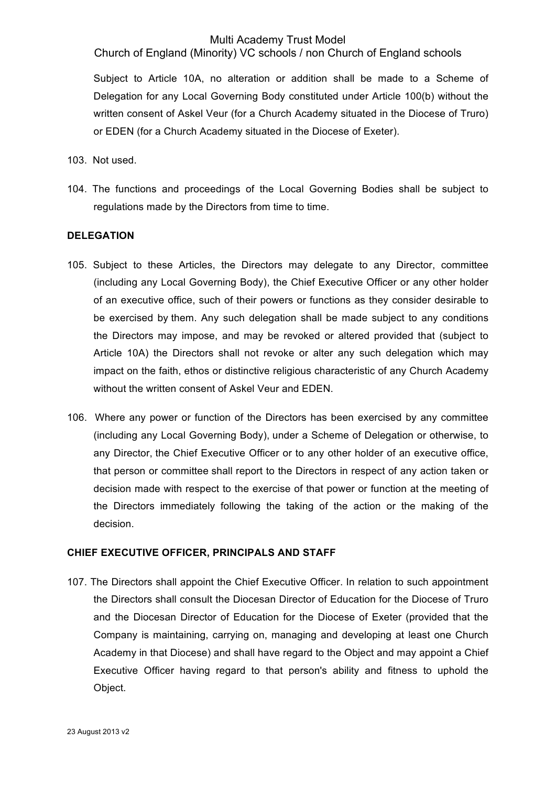Church of England (Minority) VC schools / non Church of England schools

Subject to Article 10A, no alteration or addition shall be made to a Scheme of Delegation for any Local Governing Body constituted under Article 100(b) without the written consent of Askel Veur (for a Church Academy situated in the Diocese of Truro) or EDEN (for a Church Academy situated in the Diocese of Exeter).

103. Not used.

104. The functions and proceedings of the Local Governing Bodies shall be subject to regulations made by the Directors from time to time.

### **DELEGATION**

- 105. Subject to these Articles, the Directors may delegate to any Director, committee (including any Local Governing Body), the Chief Executive Officer or any other holder of an executive office, such of their powers or functions as they consider desirable to be exercised by them. Any such delegation shall be made subject to any conditions the Directors may impose, and may be revoked or altered provided that (subject to Article 10A) the Directors shall not revoke or alter any such delegation which may impact on the faith, ethos or distinctive religious characteristic of any Church Academy without the written consent of Askel Veur and EDEN.
- 106. Where any power or function of the Directors has been exercised by any committee (including any Local Governing Body), under a Scheme of Delegation or otherwise, to any Director, the Chief Executive Officer or to any other holder of an executive office, that person or committee shall report to the Directors in respect of any action taken or decision made with respect to the exercise of that power or function at the meeting of the Directors immediately following the taking of the action or the making of the decision.

### **CHIEF EXECUTIVE OFFICER, PRINCIPALS AND STAFF**

107. The Directors shall appoint the Chief Executive Officer. In relation to such appointment the Directors shall consult the Diocesan Director of Education for the Diocese of Truro and the Diocesan Director of Education for the Diocese of Exeter (provided that the Company is maintaining, carrying on, managing and developing at least one Church Academy in that Diocese) and shall have regard to the Object and may appoint a Chief Executive Officer having regard to that person's ability and fitness to uphold the Object.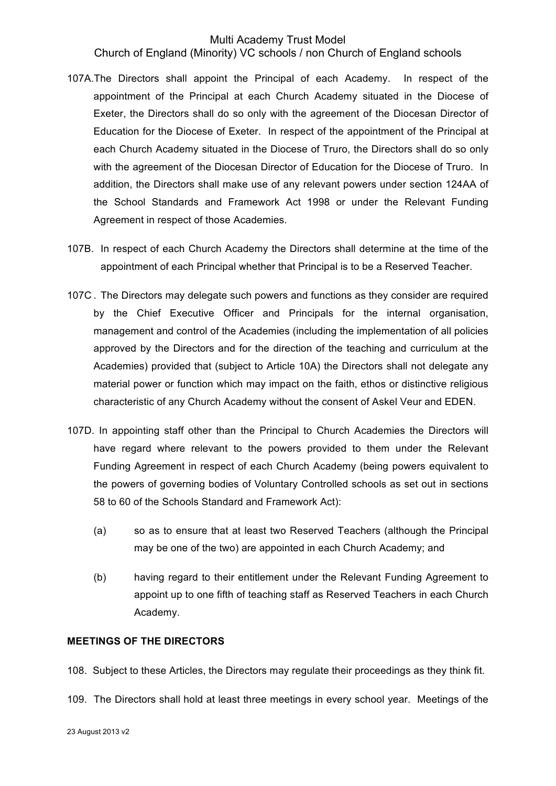Church of England (Minority) VC schools / non Church of England schools

- 107A.The Directors shall appoint the Principal of each Academy. In respect of the appointment of the Principal at each Church Academy situated in the Diocese of Exeter, the Directors shall do so only with the agreement of the Diocesan Director of Education for the Diocese of Exeter. In respect of the appointment of the Principal at each Church Academy situated in the Diocese of Truro, the Directors shall do so only with the agreement of the Diocesan Director of Education for the Diocese of Truro. In addition, the Directors shall make use of any relevant powers under section 124AA of the School Standards and Framework Act 1998 or under the Relevant Funding Agreement in respect of those Academies.
- 107B. In respect of each Church Academy the Directors shall determine at the time of the appointment of each Principal whether that Principal is to be a Reserved Teacher.
- 107C . The Directors may delegate such powers and functions as they consider are required by the Chief Executive Officer and Principals for the internal organisation, management and control of the Academies (including the implementation of all policies approved by the Directors and for the direction of the teaching and curriculum at the Academies) provided that (subject to Article 10A) the Directors shall not delegate any material power or function which may impact on the faith, ethos or distinctive religious characteristic of any Church Academy without the consent of Askel Veur and EDEN.
- 107D. In appointing staff other than the Principal to Church Academies the Directors will have regard where relevant to the powers provided to them under the Relevant Funding Agreement in respect of each Church Academy (being powers equivalent to the powers of governing bodies of Voluntary Controlled schools as set out in sections 58 to 60 of the Schools Standard and Framework Act):
	- (a) so as to ensure that at least two Reserved Teachers (although the Principal may be one of the two) are appointed in each Church Academy; and
	- (b) having regard to their entitlement under the Relevant Funding Agreement to appoint up to one fifth of teaching staff as Reserved Teachers in each Church Academy.

## **MEETINGS OF THE DIRECTORS**

108. Subject to these Articles, the Directors may regulate their proceedings as they think fit.

109. The Directors shall hold at least three meetings in every school year. Meetings of the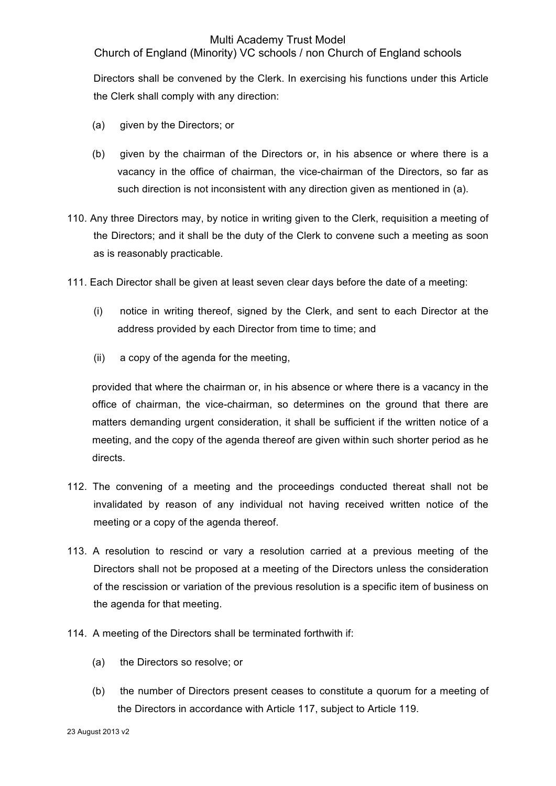Church of England (Minority) VC schools / non Church of England schools

Directors shall be convened by the Clerk. In exercising his functions under this Article the Clerk shall comply with any direction:

- (a) given by the Directors; or
- (b) given by the chairman of the Directors or, in his absence or where there is a vacancy in the office of chairman, the vice-chairman of the Directors, so far as such direction is not inconsistent with any direction given as mentioned in (a).
- 110. Any three Directors may, by notice in writing given to the Clerk, requisition a meeting of the Directors; and it shall be the duty of the Clerk to convene such a meeting as soon as is reasonably practicable.
- 111. Each Director shall be given at least seven clear days before the date of a meeting:
	- (i) notice in writing thereof, signed by the Clerk, and sent to each Director at the address provided by each Director from time to time; and
	- (ii) a copy of the agenda for the meeting,

provided that where the chairman or, in his absence or where there is a vacancy in the office of chairman, the vice-chairman, so determines on the ground that there are matters demanding urgent consideration, it shall be sufficient if the written notice of a meeting, and the copy of the agenda thereof are given within such shorter period as he directs.

- 112. The convening of a meeting and the proceedings conducted thereat shall not be invalidated by reason of any individual not having received written notice of the meeting or a copy of the agenda thereof.
- 113. A resolution to rescind or vary a resolution carried at a previous meeting of the Directors shall not be proposed at a meeting of the Directors unless the consideration of the rescission or variation of the previous resolution is a specific item of business on the agenda for that meeting.
- 114. A meeting of the Directors shall be terminated forthwith if:
	- (a) the Directors so resolve; or
	- (b) the number of Directors present ceases to constitute a quorum for a meeting of the Directors in accordance with Article 117, subject to Article 119.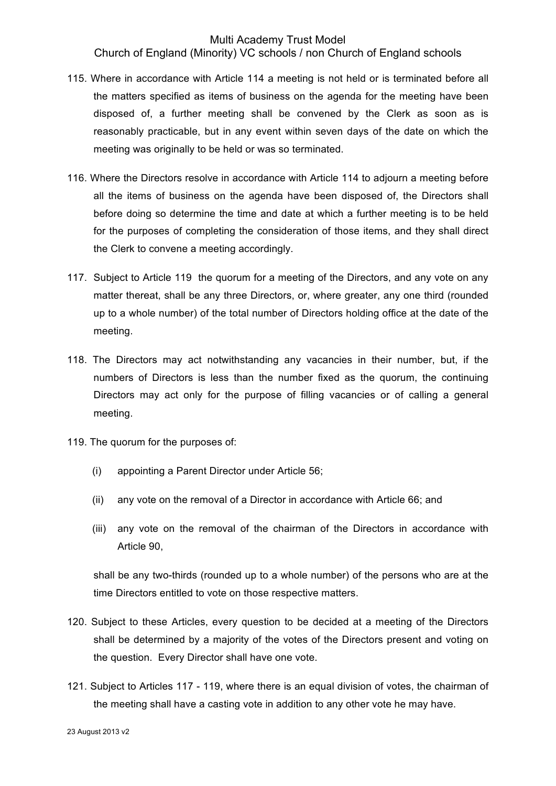Church of England (Minority) VC schools / non Church of England schools

- 115. Where in accordance with Article 114 a meeting is not held or is terminated before all the matters specified as items of business on the agenda for the meeting have been disposed of, a further meeting shall be convened by the Clerk as soon as is reasonably practicable, but in any event within seven days of the date on which the meeting was originally to be held or was so terminated.
- 116. Where the Directors resolve in accordance with Article 114 to adjourn a meeting before all the items of business on the agenda have been disposed of, the Directors shall before doing so determine the time and date at which a further meeting is to be held for the purposes of completing the consideration of those items, and they shall direct the Clerk to convene a meeting accordingly.
- 117. Subject to Article 119 the quorum for a meeting of the Directors, and any vote on any matter thereat, shall be any three Directors, or, where greater, any one third (rounded up to a whole number) of the total number of Directors holding office at the date of the meeting.
- 118. The Directors may act notwithstanding any vacancies in their number, but, if the numbers of Directors is less than the number fixed as the quorum, the continuing Directors may act only for the purpose of filling vacancies or of calling a general meeting.
- 119. The quorum for the purposes of:
	- (i) appointing a Parent Director under Article 56;
	- (ii) any vote on the removal of a Director in accordance with Article 66; and
	- (iii) any vote on the removal of the chairman of the Directors in accordance with Article 90,

shall be any two-thirds (rounded up to a whole number) of the persons who are at the time Directors entitled to vote on those respective matters.

- 120. Subject to these Articles, every question to be decided at a meeting of the Directors shall be determined by a majority of the votes of the Directors present and voting on the question. Every Director shall have one vote.
- 121. Subject to Articles 117 119, where there is an equal division of votes, the chairman of the meeting shall have a casting vote in addition to any other vote he may have.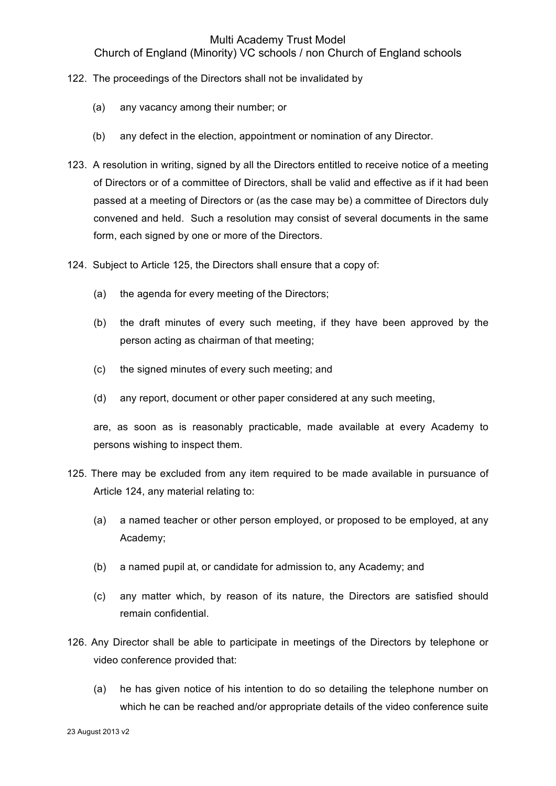Church of England (Minority) VC schools / non Church of England schools

- 122. The proceedings of the Directors shall not be invalidated by
	- (a) any vacancy among their number; or
	- (b) any defect in the election, appointment or nomination of any Director.
- 123. A resolution in writing, signed by all the Directors entitled to receive notice of a meeting of Directors or of a committee of Directors, shall be valid and effective as if it had been passed at a meeting of Directors or (as the case may be) a committee of Directors duly convened and held. Such a resolution may consist of several documents in the same form, each signed by one or more of the Directors.
- 124. Subject to Article 125, the Directors shall ensure that a copy of:
	- (a) the agenda for every meeting of the Directors;
	- (b) the draft minutes of every such meeting, if they have been approved by the person acting as chairman of that meeting;
	- (c) the signed minutes of every such meeting; and
	- (d) any report, document or other paper considered at any such meeting,

are, as soon as is reasonably practicable, made available at every Academy to persons wishing to inspect them.

- 125. There may be excluded from any item required to be made available in pursuance of Article 124, any material relating to:
	- (a) a named teacher or other person employed, or proposed to be employed, at any Academy;
	- (b) a named pupil at, or candidate for admission to, any Academy; and
	- (c) any matter which, by reason of its nature, the Directors are satisfied should remain confidential.
- 126. Any Director shall be able to participate in meetings of the Directors by telephone or video conference provided that:
	- (a) he has given notice of his intention to do so detailing the telephone number on which he can be reached and/or appropriate details of the video conference suite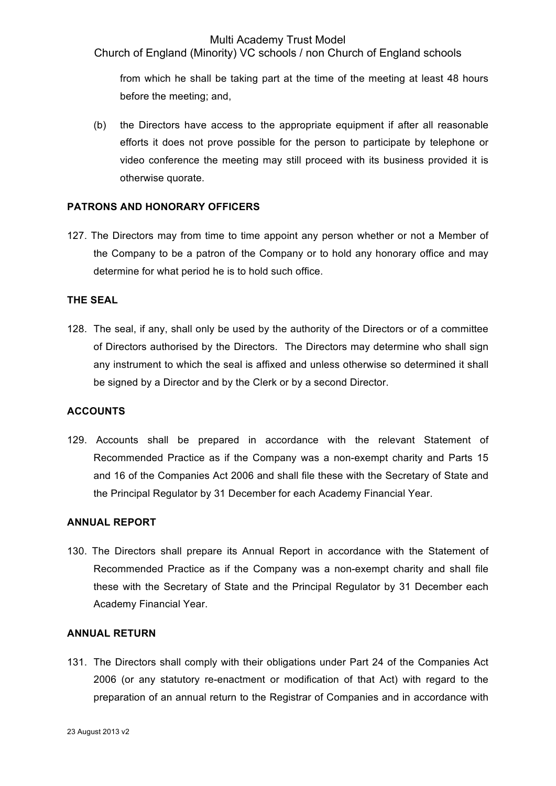Church of England (Minority) VC schools / non Church of England schools

from which he shall be taking part at the time of the meeting at least 48 hours before the meeting; and,

(b) the Directors have access to the appropriate equipment if after all reasonable efforts it does not prove possible for the person to participate by telephone or video conference the meeting may still proceed with its business provided it is otherwise quorate.

## **PATRONS AND HONORARY OFFICERS**

127. The Directors may from time to time appoint any person whether or not a Member of the Company to be a patron of the Company or to hold any honorary office and may determine for what period he is to hold such office.

## **THE SEAL**

128. The seal, if any, shall only be used by the authority of the Directors or of a committee of Directors authorised by the Directors. The Directors may determine who shall sign any instrument to which the seal is affixed and unless otherwise so determined it shall be signed by a Director and by the Clerk or by a second Director.

### **ACCOUNTS**

129. Accounts shall be prepared in accordance with the relevant Statement of Recommended Practice as if the Company was a non-exempt charity and Parts 15 and 16 of the Companies Act 2006 and shall file these with the Secretary of State and the Principal Regulator by 31 December for each Academy Financial Year.

### **ANNUAL REPORT**

130. The Directors shall prepare its Annual Report in accordance with the Statement of Recommended Practice as if the Company was a non-exempt charity and shall file these with the Secretary of State and the Principal Regulator by 31 December each Academy Financial Year.

### **ANNUAL RETURN**

131. The Directors shall comply with their obligations under Part 24 of the Companies Act 2006 (or any statutory re-enactment or modification of that Act) with regard to the preparation of an annual return to the Registrar of Companies and in accordance with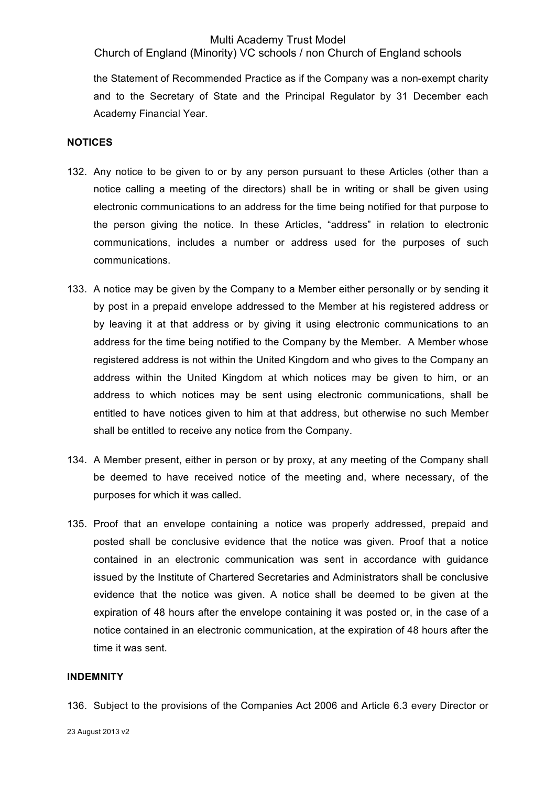Church of England (Minority) VC schools / non Church of England schools

the Statement of Recommended Practice as if the Company was a non-exempt charity and to the Secretary of State and the Principal Regulator by 31 December each Academy Financial Year.

#### **NOTICES**

- 132. Any notice to be given to or by any person pursuant to these Articles (other than a notice calling a meeting of the directors) shall be in writing or shall be given using electronic communications to an address for the time being notified for that purpose to the person giving the notice. In these Articles, "address" in relation to electronic communications, includes a number or address used for the purposes of such communications.
- 133. A notice may be given by the Company to a Member either personally or by sending it by post in a prepaid envelope addressed to the Member at his registered address or by leaving it at that address or by giving it using electronic communications to an address for the time being notified to the Company by the Member. A Member whose registered address is not within the United Kingdom and who gives to the Company an address within the United Kingdom at which notices may be given to him, or an address to which notices may be sent using electronic communications, shall be entitled to have notices given to him at that address, but otherwise no such Member shall be entitled to receive any notice from the Company.
- 134. A Member present, either in person or by proxy, at any meeting of the Company shall be deemed to have received notice of the meeting and, where necessary, of the purposes for which it was called.
- 135. Proof that an envelope containing a notice was properly addressed, prepaid and posted shall be conclusive evidence that the notice was given. Proof that a notice contained in an electronic communication was sent in accordance with guidance issued by the Institute of Chartered Secretaries and Administrators shall be conclusive evidence that the notice was given. A notice shall be deemed to be given at the expiration of 48 hours after the envelope containing it was posted or, in the case of a notice contained in an electronic communication, at the expiration of 48 hours after the time it was sent.

#### **INDEMNITY**

136. Subject to the provisions of the Companies Act 2006 and Article 6.3 every Director or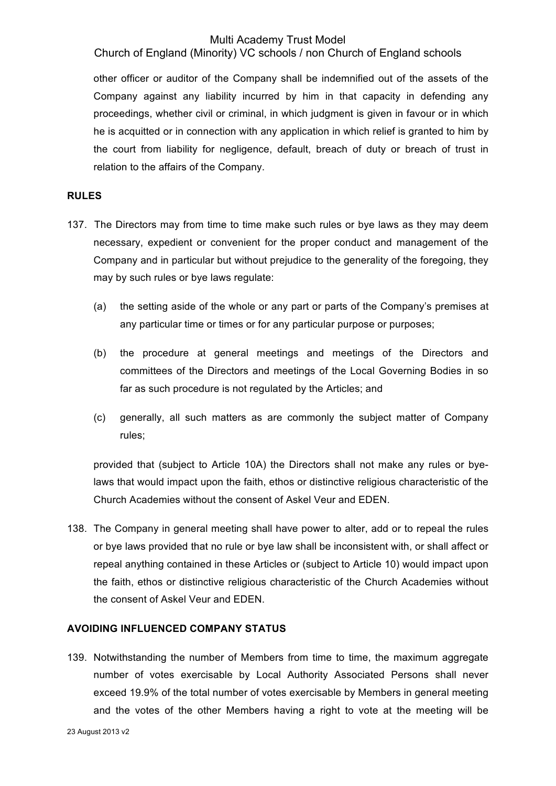Church of England (Minority) VC schools / non Church of England schools

other officer or auditor of the Company shall be indemnified out of the assets of the Company against any liability incurred by him in that capacity in defending any proceedings, whether civil or criminal, in which judgment is given in favour or in which he is acquitted or in connection with any application in which relief is granted to him by the court from liability for negligence, default, breach of duty or breach of trust in relation to the affairs of the Company.

## **RULES**

- 137. The Directors may from time to time make such rules or bye laws as they may deem necessary, expedient or convenient for the proper conduct and management of the Company and in particular but without prejudice to the generality of the foregoing, they may by such rules or bye laws regulate:
	- (a) the setting aside of the whole or any part or parts of the Company's premises at any particular time or times or for any particular purpose or purposes;
	- (b) the procedure at general meetings and meetings of the Directors and committees of the Directors and meetings of the Local Governing Bodies in so far as such procedure is not regulated by the Articles; and
	- (c) generally, all such matters as are commonly the subject matter of Company rules;

provided that (subject to Article 10A) the Directors shall not make any rules or byelaws that would impact upon the faith, ethos or distinctive religious characteristic of the Church Academies without the consent of Askel Veur and EDEN.

138. The Company in general meeting shall have power to alter, add or to repeal the rules or bye laws provided that no rule or bye law shall be inconsistent with, or shall affect or repeal anything contained in these Articles or (subject to Article 10) would impact upon the faith, ethos or distinctive religious characteristic of the Church Academies without the consent of Askel Veur and EDEN.

# **AVOIDING INFLUENCED COMPANY STATUS**

139. Notwithstanding the number of Members from time to time, the maximum aggregate number of votes exercisable by Local Authority Associated Persons shall never exceed 19.9% of the total number of votes exercisable by Members in general meeting and the votes of the other Members having a right to vote at the meeting will be